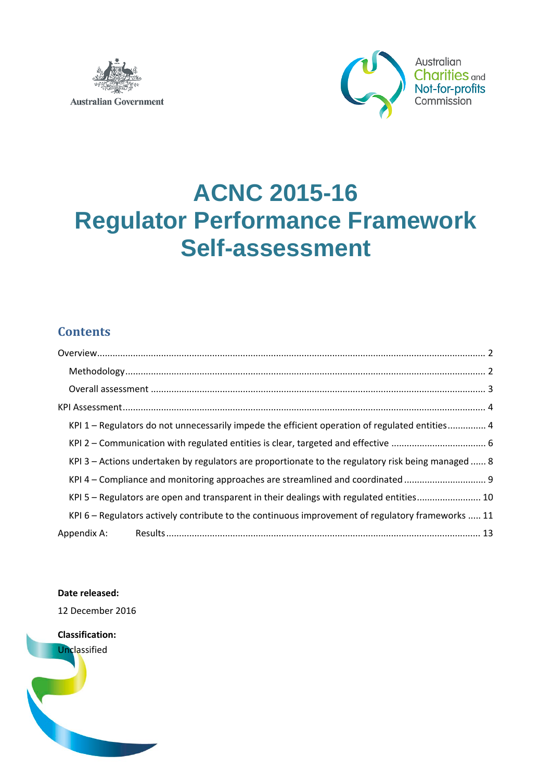



# **ACNC 2015-16 Regulator Performance Framework Self-assessment**

### **Contents**

| KPI 1 – Regulators do not unnecessarily impede the efficient operation of regulated entities 4      |
|-----------------------------------------------------------------------------------------------------|
|                                                                                                     |
| KPI 3 – Actions undertaken by regulators are proportionate to the regulatory risk being managed  8  |
| KPI 4 - Compliance and monitoring approaches are streamlined and coordinated                        |
| KPI 5 - Regulators are open and transparent in their dealings with regulated entities 10            |
| KPI $6$ – Regulators actively contribute to the continuous improvement of regulatory frameworks  11 |
|                                                                                                     |

### **Date released:**

12 December 2016

**Classification:**  Unclassified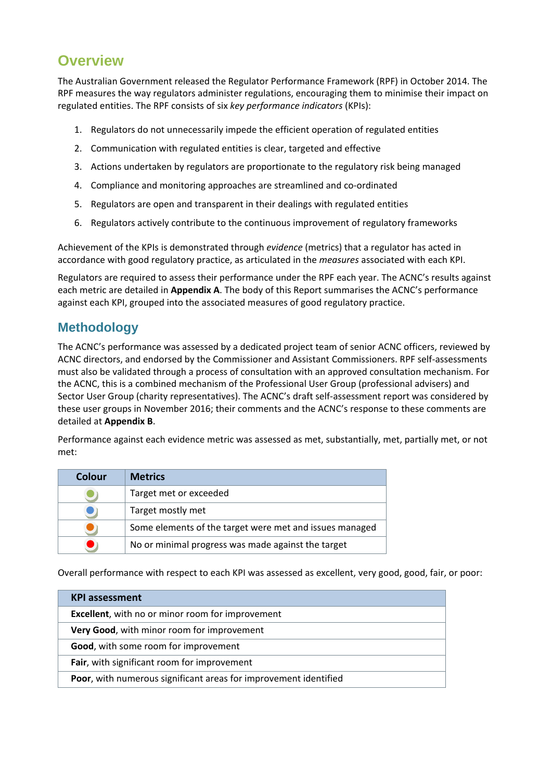### <span id="page-1-0"></span>**Overview**

The Australian Government released the Regulator Performance Framework (RPF) in October 2014. The RPF measures the way regulators administer regulations, encouraging them to minimise their impact on regulated entities. The RPF consists of six *key performance indicators* (KPIs):

- 1. Regulators do not unnecessarily impede the efficient operation of regulated entities
- 2. Communication with regulated entities is clear, targeted and effective
- 3. Actions undertaken by regulators are proportionate to the regulatory risk being managed
- 4. Compliance and monitoring approaches are streamlined and co-ordinated
- 5. Regulators are open and transparent in their dealings with regulated entities
- 6. Regulators actively contribute to the continuous improvement of regulatory frameworks

Achievement of the KPIs is demonstrated through *evidence* (metrics) that a regulator has acted in accordance with good regulatory practice, as articulated in the *measures* associated with each KPI.

Regulators are required to assess their performance under the RPF each year. The ACNC's results against each metric are detailed in **Appendix A**. The body of this Report summarises the ACNC's performance against each KPI, grouped into the associated measures of good regulatory practice.

### <span id="page-1-1"></span>**Methodology**

The ACNC's performance was assessed by a dedicated project team of senior ACNC officers, reviewed by ACNC directors, and endorsed by the Commissioner and Assistant Commissioners. RPF self-assessments must also be validated through a process of consultation with an approved consultation mechanism. For the ACNC, this is a combined mechanism of the Professional User Group (professional advisers) and Sector User Group (charity representatives). The ACNC's draft self-assessment report was considered by these user groups in November 2016; their comments and the ACNC's response to these comments are detailed at **Appendix B**.

Performance against each evidence metric was assessed as met, substantially, met, partially met, or not met:

| Colour | <b>Metrics</b>                                          |
|--------|---------------------------------------------------------|
|        | Target met or exceeded                                  |
|        | Target mostly met                                       |
|        | Some elements of the target were met and issues managed |
|        | No or minimal progress was made against the target      |

Overall performance with respect to each KPI was assessed as excellent, very good, good, fair, or poor:

| <b>KPI</b> assessment                                                    |
|--------------------------------------------------------------------------|
| <b>Excellent</b> , with no or minor room for improvement                 |
| Very Good, with minor room for improvement                               |
| Good, with some room for improvement                                     |
| Fair, with significant room for improvement                              |
| <b>Poor</b> , with numerous significant areas for improvement identified |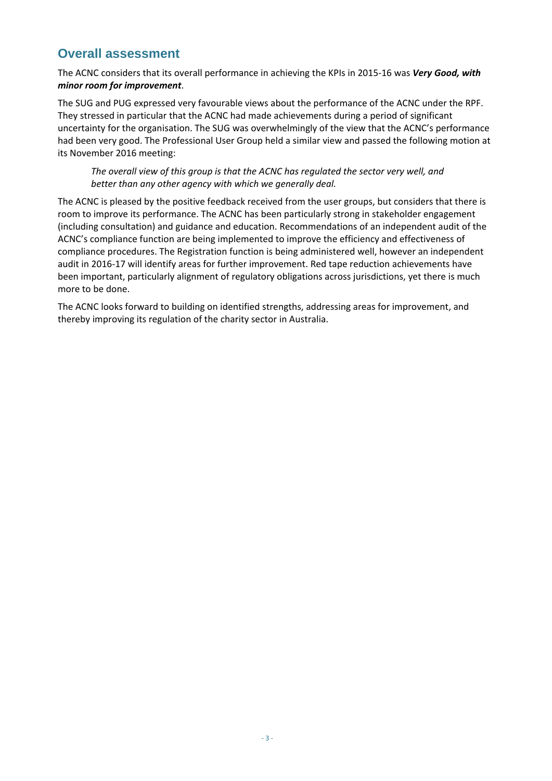### <span id="page-2-0"></span>**Overall assessment**

The ACNC considers that its overall performance in achieving the KPIs in 2015-16 was *Very Good, with minor room for improvement*.

The SUG and PUG expressed very favourable views about the performance of the ACNC under the RPF. They stressed in particular that the ACNC had made achievements during a period of significant uncertainty for the organisation. The SUG was overwhelmingly of the view that the ACNC's performance had been very good. The Professional User Group held a similar view and passed the following motion at its November 2016 meeting:

*The overall view of this group is that the ACNC has regulated the sector very well, and better than any other agency with which we generally deal.*

The ACNC is pleased by the positive feedback received from the user groups, but considers that there is room to improve its performance. The ACNC has been particularly strong in stakeholder engagement (including consultation) and guidance and education. Recommendations of an independent audit of the ACNC's compliance function are being implemented to improve the efficiency and effectiveness of compliance procedures. The Registration function is being administered well, however an independent audit in 2016-17 will identify areas for further improvement. Red tape reduction achievements have been important, particularly alignment of regulatory obligations across jurisdictions, yet there is much more to be done.

The ACNC looks forward to building on identified strengths, addressing areas for improvement, and thereby improving its regulation of the charity sector in Australia.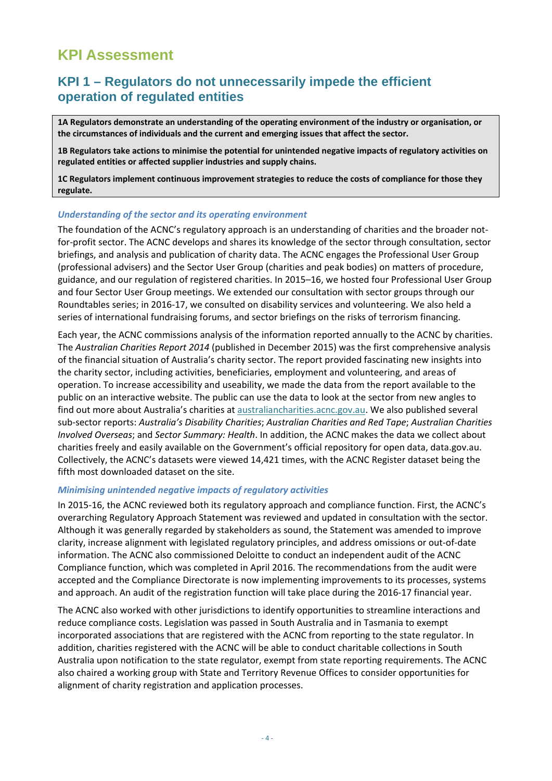### <span id="page-3-0"></span>**KPI Assessment**

### <span id="page-3-1"></span>**KPI 1 – Regulators do not unnecessarily impede the efficient operation of regulated entities**

**1A Regulators demonstrate an understanding of the operating environment of the industry or organisation, or the circumstances of individuals and the current and emerging issues that affect the sector.**

**1B Regulators take actions to minimise the potential for unintended negative impacts of regulatory activities on regulated entities or affected supplier industries and supply chains.** 

**1C Regulators implement continuous improvement strategies to reduce the costs of compliance for those they regulate.** 

#### *Understanding of the sector and its operating environment*

The foundation of the ACNC's regulatory approach is an understanding of charities and the broader notfor-profit sector. The ACNC develops and shares its knowledge of the sector through consultation, sector briefings, and analysis and publication of charity data. The ACNC engages the Professional User Group (professional advisers) and the Sector User Group (charities and peak bodies) on matters of procedure, guidance, and our regulation of registered charities. In 2015–16, we hosted four Professional User Group and four Sector User Group meetings. We extended our consultation with sector groups through our Roundtables series; in 2016-17, we consulted on disability services and volunteering. We also held a series of international fundraising forums, and sector briefings on the risks of terrorism financing.

Each year, the ACNC commissions analysis of the information reported annually to the ACNC by charities. The *Australian Charities Report 2014* (published in December 2015) was the first comprehensive analysis of the financial situation of Australia's charity sector. The report provided fascinating new insights into the charity sector, including activities, beneficiaries, employment and volunteering, and areas of operation. To increase accessibility and useability, we made the data from the report available to the public on an interactive website. The public can use the data to look at the sector from new angles to find out more about Australia's charities at australiancharities.acnc.gov.au. We also published several sub-sector reports: *Australia's Disability Charities*; *Australian Charities and Red Tape*; *Australian Charities Involved Overseas*; and *Sector Summary: Health*. In addition, the ACNC makes the data we collect about charities freely and easily available on the Government's official repository for open data, data.gov.au. Collectively, the ACNC's datasets were viewed 14,421 times, with the ACNC Register dataset being the fifth most downloaded dataset on the site.

#### *Minimising unintended negative impacts of regulatory activities*

In 2015-16, the ACNC reviewed both its regulatory approach and compliance function. First, the ACNC's overarching Regulatory Approach Statement was reviewed and updated in consultation with the sector. Although it was generally regarded by stakeholders as sound, the Statement was amended to improve clarity, increase alignment with legislated regulatory principles, and address omissions or out-of-date information. The ACNC also commissioned Deloitte to conduct an independent audit of the ACNC Compliance function, which was completed in April 2016. The recommendations from the audit were accepted and the Compliance Directorate is now implementing improvements to its processes, systems and approach. An audit of the registration function will take place during the 2016-17 financial year.

The ACNC also worked with other jurisdictions to identify opportunities to streamline interactions and reduce compliance costs. Legislation was passed in South Australia and in Tasmania to exempt incorporated associations that are registered with the ACNC from reporting to the state regulator. In addition, charities registered with the ACNC will be able to conduct charitable collections in South Australia upon notification to the state regulator, exempt from state reporting requirements. The ACNC also chaired a working group with State and Territory Revenue Offices to consider opportunities for alignment of charity registration and application processes.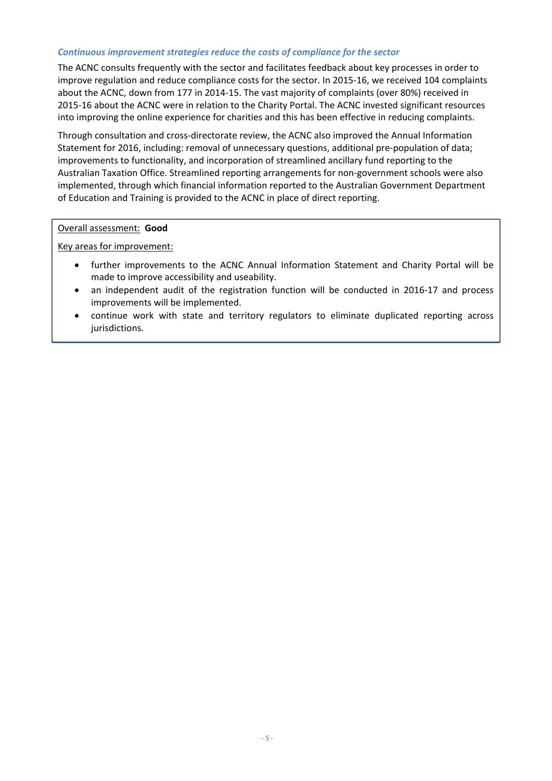#### *Continuous improvement strategies reduce the costs of compliance for the sector*

The ACNC consults frequently with the sector and facilitates feedback about key processes in order to improve regulation and reduce compliance costs for the sector. In 2015-16, we received 104 complaints about the ACNC, down from 177 in 2014-15. The vast majority of complaints (over 80%) received in 2015-16 about the ACNC were in relation to the Charity Portal. The ACNC invested significant resources into improving the online experience for charities and this has been effective in reducing complaints.

Through consultation and cross-directorate review, the ACNC also improved the Annual Information Statement for 2016, including: removal of unnecessary questions, additional pre-population of data; improvements to functionality, and incorporation of streamlined ancillary fund reporting to the Australian Taxation Office. Streamlined reporting arrangements for non-government schools were also implemented, through which financial information reported to the Australian Government Department of Education and Training is provided to the ACNC in place of direct reporting.

### Overall assessment: **Good**

Key areas for improvement:

- further improvements to the ACNC Annual Information Statement and Charity Portal will be made to improve accessibility and useability.
- an independent audit of the registration function will be conducted in 2016-17 and process improvements will be implemented.
- continue work with state and territory regulators to eliminate duplicated reporting across jurisdictions.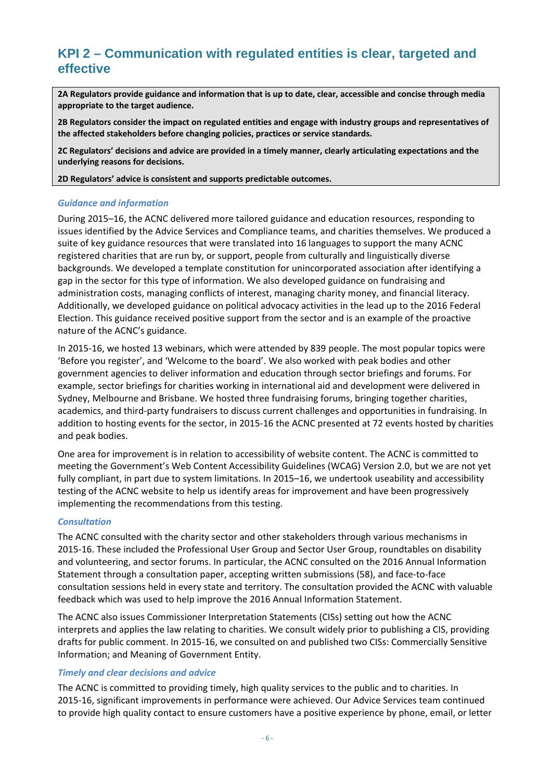### <span id="page-5-0"></span>**KPI 2 – Communication with regulated entities is clear, targeted and effective**

**2A Regulators provide guidance and information that is up to date, clear, accessible and concise through media appropriate to the target audience.** 

**2B Regulators consider the impact on regulated entities and engage with industry groups and representatives of the affected stakeholders before changing policies, practices or service standards.**

**2C Regulators' decisions and advice are provided in a timely manner, clearly articulating expectations and the underlying reasons for decisions.**

**2D Regulators' advice is consistent and supports predictable outcomes.**

### *Guidance and information*

During 2015–16, the ACNC delivered more tailored guidance and education resources, responding to issues identified by the Advice Services and Compliance teams, and charities themselves. We produced a suite of key guidance resources that were translated into 16 languages to support the many ACNC registered charities that are run by, or support, people from culturally and linguistically diverse backgrounds. We developed a template constitution for unincorporated association after identifying a gap in the sector for this type of information. We also developed guidance on fundraising and administration costs, managing conflicts of interest, managing charity money, and financial literacy. Additionally, we developed guidance on political advocacy activities in the lead up to the 2016 Federal Election. This guidance received positive support from the sector and is an example of the proactive nature of the ACNC's guidance.

In 2015-16, we hosted 13 webinars, which were attended by 839 people. The most popular topics were 'Before you register', and 'Welcome to the board'. We also worked with peak bodies and other government agencies to deliver information and education through sector briefings and forums. For example, sector briefings for charities working in international aid and development were delivered in Sydney, Melbourne and Brisbane. We hosted three fundraising forums, bringing together charities, academics, and third-party fundraisers to discuss current challenges and opportunities in fundraising. In addition to hosting events for the sector, in 2015-16 the ACNC presented at 72 events hosted by charities and peak bodies.

One area for improvement is in relation to accessibility of website content. The ACNC is committed to meeting the Government's Web Content Accessibility Guidelines (WCAG) Version 2.0, but we are not yet fully compliant, in part due to system limitations. In 2015–16, we undertook useability and accessibility testing of the ACNC website to help us identify areas for improvement and have been progressively implementing the recommendations from this testing.

#### *Consultation*

The ACNC consulted with the charity sector and other stakeholders through various mechanisms in 2015-16. These included the Professional User Group and Sector User Group, roundtables on disability and volunteering, and sector forums. In particular, the ACNC consulted on the 2016 Annual Information Statement through a consultation paper, accepting written submissions (58), and face-to-face consultation sessions held in every state and territory. The consultation provided the ACNC with valuable feedback which was used to help improve the 2016 Annual Information Statement.

The ACNC also issues Commissioner Interpretation Statements (CISs) setting out how the ACNC interprets and applies the law relating to charities. We consult widely prior to publishing a CIS, providing drafts for public comment. In 2015-16, we consulted on and published two CISs: Commercially Sensitive Information; and Meaning of Government Entity.

### *Timely and clear decisions and advice*

The ACNC is committed to providing timely, high quality services to the public and to charities. In 2015-16, significant improvements in performance were achieved. Our Advice Services team continued to provide high quality contact to ensure customers have a positive experience by phone, email, or letter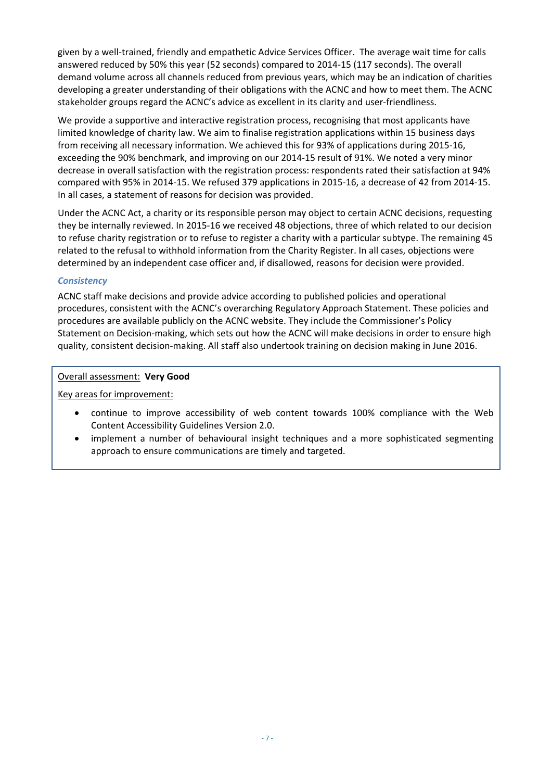given by a well-trained, friendly and empathetic Advice Services Officer. The average wait time for calls answered reduced by 50% this year (52 seconds) compared to 2014-15 (117 seconds). The overall demand volume across all channels reduced from previous years, which may be an indication of charities developing a greater understanding of their obligations with the ACNC and how to meet them. The ACNC stakeholder groups regard the ACNC's advice as excellent in its clarity and user-friendliness.

We provide a supportive and interactive registration process, recognising that most applicants have limited knowledge of charity law. We aim to finalise registration applications within 15 business days from receiving all necessary information. We achieved this for 93% of applications during 2015-16, exceeding the 90% benchmark, and improving on our 2014-15 result of 91%. We noted a very minor decrease in overall satisfaction with the registration process: respondents rated their satisfaction at 94% compared with 95% in 2014-15. We refused 379 applications in 2015-16, a decrease of 42 from 2014-15. In all cases, a statement of reasons for decision was provided.

Under the ACNC Act, a charity or its responsible person may object to certain ACNC decisions, requesting they be internally reviewed. In 2015-16 we received 48 objections, three of which related to our decision to refuse charity registration or to refuse to register a charity with a particular subtype. The remaining 45 related to the refusal to withhold information from the Charity Register. In all cases, objections were determined by an independent case officer and, if disallowed, reasons for decision were provided.

### *Consistency*

ACNC staff make decisions and provide advice according to published policies and operational procedures, consistent with the ACNC's overarching Regulatory Approach Statement. These policies and procedures are available publicly on the ACNC website. They include the Commissioner's Policy Statement on Decision-making, which sets out how the ACNC will make decisions in order to ensure high quality, consistent decision-making. All staff also undertook training on decision making in June 2016.

### Overall assessment: **Very Good**

Key areas for improvement:

- continue to improve accessibility of web content towards 100% compliance with the Web Content Accessibility Guidelines Version 2.0.
- implement a number of behavioural insight techniques and a more sophisticated segmenting approach to ensure communications are timely and targeted.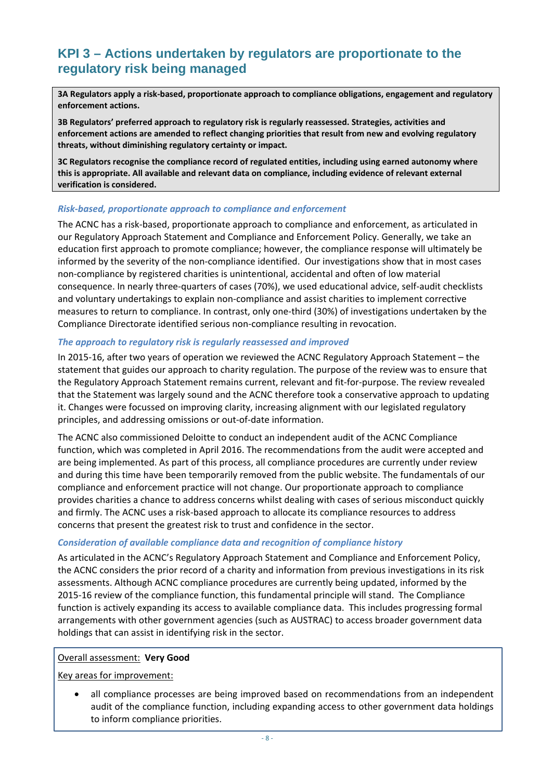### <span id="page-7-0"></span>**KPI 3 – Actions undertaken by regulators are proportionate to the regulatory risk being managed**

**3A Regulators apply a risk-based, proportionate approach to compliance obligations, engagement and regulatory enforcement actions.** 

**3B Regulators' preferred approach to regulatory risk is regularly reassessed. Strategies, activities and enforcement actions are amended to reflect changing priorities that result from new and evolving regulatory threats, without diminishing regulatory certainty or impact.**

**3C Regulators recognise the compliance record of regulated entities, including using earned autonomy where this is appropriate. All available and relevant data on compliance, including evidence of relevant external verification is considered.**

### *Risk-based, proportionate approach to compliance and enforcement*

The ACNC has a risk-based, proportionate approach to compliance and enforcement, as articulated in our Regulatory Approach Statement and Compliance and Enforcement Policy. Generally, we take an education first approach to promote compliance; however, the compliance response will ultimately be informed by the severity of the non-compliance identified. Our investigations show that in most cases non-compliance by registered charities is unintentional, accidental and often of low material consequence. In nearly three-quarters of cases (70%), we used educational advice, self-audit checklists and voluntary undertakings to explain non-compliance and assist charities to implement corrective measures to return to compliance. In contrast, only one-third (30%) of investigations undertaken by the Compliance Directorate identified serious non-compliance resulting in revocation.

### *The approach to regulatory risk is regularly reassessed and improved*

In 2015-16, after two years of operation we reviewed the ACNC Regulatory Approach Statement – the statement that guides our approach to charity regulation. The purpose of the review was to ensure that the Regulatory Approach Statement remains current, relevant and fit-for-purpose. The review revealed that the Statement was largely sound and the ACNC therefore took a conservative approach to updating it. Changes were focussed on improving clarity, increasing alignment with our legislated regulatory principles, and addressing omissions or out-of-date information.

The ACNC also commissioned Deloitte to conduct an independent audit of the ACNC Compliance function, which was completed in April 2016. The recommendations from the audit were accepted and are being implemented. As part of this process, all compliance procedures are currently under review and during this time have been temporarily removed from the public website. The fundamentals of our compliance and enforcement practice will not change. Our proportionate approach to compliance provides charities a chance to address concerns whilst dealing with cases of serious misconduct quickly and firmly. The ACNC uses a risk-based approach to allocate its compliance resources to address concerns that present the greatest risk to trust and confidence in the sector.

### *Consideration of available compliance data and recognition of compliance history*

As articulated in the ACNC's Regulatory Approach Statement and Compliance and Enforcement Policy, the ACNC considers the prior record of a charity and information from previous investigations in its risk assessments. Although ACNC compliance procedures are currently being updated, informed by the 2015-16 review of the compliance function, this fundamental principle will stand. The Compliance function is actively expanding its access to available compliance data. This includes progressing formal arrangements with other government agencies (such as AUSTRAC) to access broader government data holdings that can assist in identifying risk in the sector.

### Overall assessment: **Very Good**

Key areas for improvement:

• all compliance processes are being improved based on recommendations from an independent audit of the compliance function, including expanding access to other government data holdings to inform compliance priorities.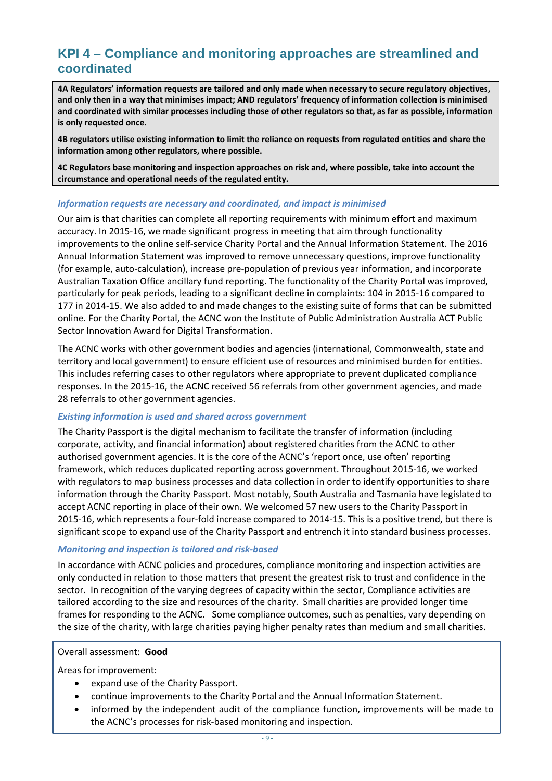### <span id="page-8-0"></span>**KPI 4 – Compliance and monitoring approaches are streamlined and coordinated**

**4A Regulators' information requests are tailored and only made when necessary to secure regulatory objectives, and only then in a way that minimises impact; AND regulators' frequency of information collection is minimised and coordinated with similar processes including those of other regulators so that, as far as possible, information is only requested once.**

**4B regulators utilise existing information to limit the reliance on requests from regulated entities and share the information among other regulators, where possible.**

**4C Regulators base monitoring and inspection approaches on risk and, where possible, take into account the circumstance and operational needs of the regulated entity.** 

### *Information requests are necessary and coordinated, and impact is minimised*

Our aim is that charities can complete all reporting requirements with minimum effort and maximum accuracy. In 2015-16, we made significant progress in meeting that aim through functionality improvements to the online self-service Charity Portal and the Annual Information Statement. The 2016 Annual Information Statement was improved to remove unnecessary questions, improve functionality (for example, auto-calculation), increase pre-population of previous year information, and incorporate Australian Taxation Office ancillary fund reporting. The functionality of the Charity Portal was improved, particularly for peak periods, leading to a significant decline in complaints: 104 in 2015-16 compared to 177 in 2014-15. We also added to and made changes to the existing suite of forms that can be submitted online. For the Charity Portal, the ACNC won the Institute of Public Administration Australia ACT Public Sector Innovation Award for Digital Transformation.

The ACNC works with other government bodies and agencies (international, Commonwealth, state and territory and local government) to ensure efficient use of resources and minimised burden for entities. This includes referring cases to other regulators where appropriate to prevent duplicated compliance responses. In the 2015-16, the ACNC received 56 referrals from other government agencies, and made 28 referrals to other government agencies.

### *Existing information is used and shared across government*

The Charity Passport is the digital mechanism to facilitate the transfer of information (including corporate, activity, and financial information) about registered charities from the ACNC to other authorised government agencies. It is the core of the ACNC's 'report once, use often' reporting framework, which reduces duplicated reporting across government. Throughout 2015-16, we worked with regulators to map business processes and data collection in order to identify opportunities to share information through the Charity Passport. Most notably, South Australia and Tasmania have legislated to accept ACNC reporting in place of their own. We welcomed 57 new users to the Charity Passport in 2015-16, which represents a four-fold increase compared to 2014-15. This is a positive trend, but there is significant scope to expand use of the Charity Passport and entrench it into standard business processes.

### *Monitoring and inspection is tailored and risk-based*

In accordance with ACNC policies and procedures, compliance monitoring and inspection activities are only conducted in relation to those matters that present the greatest risk to trust and confidence in the sector. In recognition of the varying degrees of capacity within the sector, Compliance activities are tailored according to the size and resources of the charity. Small charities are provided longer time frames for responding to the ACNC. Some compliance outcomes, such as penalties, vary depending on the size of the charity, with large charities paying higher penalty rates than medium and small charities.

### Overall assessment: **Good**

Areas for improvement:

- expand use of the Charity Passport.
- continue improvements to the Charity Portal and the Annual Information Statement.
- informed by the independent audit of the compliance function, improvements will be made to the ACNC's processes for risk-based monitoring and inspection.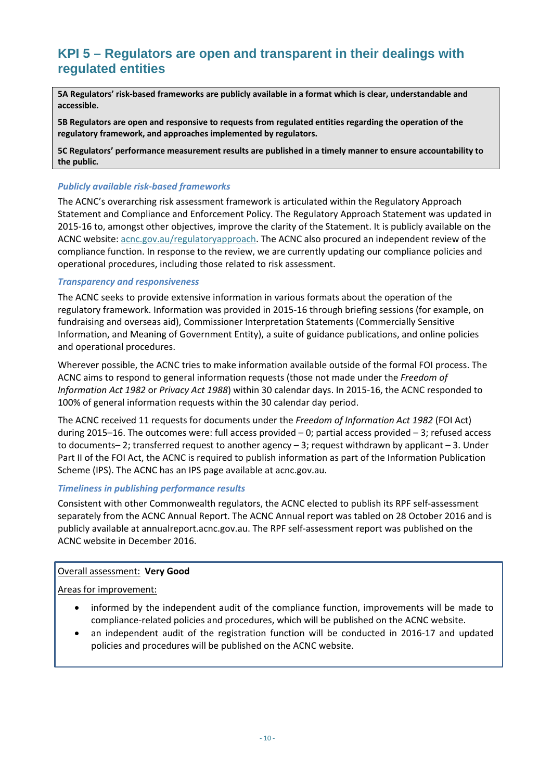### <span id="page-9-0"></span>**KPI 5 – Regulators are open and transparent in their dealings with regulated entities**

**5A Regulators' risk-based frameworks are publicly available in a format which is clear, understandable and accessible.**

**5B Regulators are open and responsive to requests from regulated entities regarding the operation of the regulatory framework, and approaches implemented by regulators.** 

**5C Regulators' performance measurement results are published in a timely manner to ensure accountability to the public.**

### *Publicly available risk-based frameworks*

The ACNC's overarching risk assessment framework is articulated within the Regulatory Approach Statement and Compliance and Enforcement Policy. The Regulatory Approach Statement was updated in 2015-16 to, amongst other objectives, improve the clarity of the Statement. It is publicly available on the ACNC website: acnc.gov.au/regulatoryapproach. The ACNC also procured an independent review of the compliance function. In response to the review, we are currently updating our compliance policies and operational procedures, including those related to risk assessment.

### *Transparency and responsiveness*

The ACNC seeks to provide extensive information in various formats about the operation of the regulatory framework. Information was provided in 2015-16 through briefing sessions (for example, on fundraising and overseas aid), Commissioner Interpretation Statements (Commercially Sensitive Information, and Meaning of Government Entity), a suite of guidance publications, and online policies and operational procedures.

Wherever possible, the ACNC tries to make information available outside of the formal FOI process. The ACNC aims to respond to general information requests (those not made under the *Freedom of Information Act 1982* or *Privacy Act 1988*) within 30 calendar days. In 2015-16, the ACNC responded to 100% of general information requests within the 30 calendar day period.

The ACNC received 11 requests for documents under the *Freedom of Information Act 1982* (FOI Act) during 2015–16. The outcomes were: full access provided  $-0$ ; partial access provided  $-3$ ; refused access to documents– 2; transferred request to another agency – 3; request withdrawn by applicant – 3. Under Part II of the FOI Act, the ACNC is required to publish information as part of the Information Publication Scheme (IPS). The ACNC has an IPS page available at acnc.gov.au.

### *Timeliness in publishing performance results*

Consistent with other Commonwealth regulators, the ACNC elected to publish its RPF self-assessment separately from the ACNC Annual Report. The ACNC Annual report was tabled on 28 October 2016 and is publicly available at annualreport.acnc.gov.au. The RPF self-assessment report was published on the ACNC website in December 2016.

### Overall assessment: **Very Good**

Areas for improvement:

- informed by the independent audit of the compliance function, improvements will be made to compliance-related policies and procedures, which will be published on the ACNC website.
- an independent audit of the registration function will be conducted in 2016-17 and updated policies and procedures will be published on the ACNC website.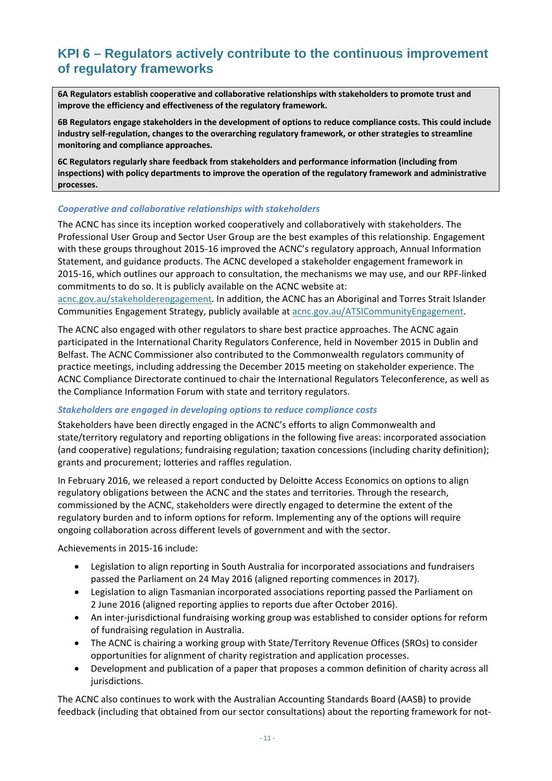### <span id="page-10-0"></span>**KPI 6 – Regulators actively contribute to the continuous improvement of regulatory frameworks**

**6A Regulators establish cooperative and collaborative relationships with stakeholders to promote trust and improve the efficiency and effectiveness of the regulatory framework.**

**6B Regulators engage stakeholders in the development of options to reduce compliance costs. This could include industry self-regulation, changes to the overarching regulatory framework, or other strategies to streamline monitoring and compliance approaches.**

**6C Regulators regularly share feedback from stakeholders and performance information (including from inspections) with policy departments to improve the operation of the regulatory framework and administrative processes.**

### *Cooperative and collaborative relationships with stakeholders*

The ACNC has since its inception worked cooperatively and collaboratively with stakeholders. The Professional User Group and Sector User Group are the best examples of this relationship. Engagement with these groups throughout 2015-16 improved the ACNC's regulatory approach, Annual Information Statement, and guidance products. The ACNC developed a stakeholder engagement framework in 2015-16, which outlines our approach to consultation, the mechanisms we may use, and our RPF-linked commitments to do so. It is publicly available on the ACNC website at:

acnc.gov.au/stakeholderengagement. In addition, the ACNC has an Aboriginal and Torres Strait Islander Communities Engagement Strategy, publicly available at acnc.gov.au/ATSICommunityEngagement.

The ACNC also engaged with other regulators to share best practice approaches. The ACNC again participated in the International Charity Regulators Conference, held in November 2015 in Dublin and Belfast. The ACNC Commissioner also contributed to the Commonwealth regulators community of practice meetings, including addressing the December 2015 meeting on stakeholder experience. The ACNC Compliance Directorate continued to chair the International Regulators Teleconference, as well as the Compliance Information Forum with state and territory regulators.

### *Stakeholders are engaged in developing options to reduce compliance costs*

Stakeholders have been directly engaged in the ACNC's efforts to align Commonwealth and state/territory regulatory and reporting obligations in the following five areas: incorporated association (and cooperative) regulations; fundraising regulation; taxation concessions (including charity definition); grants and procurement; lotteries and raffles regulation.

In February 2016, we released a report conducted by Deloitte Access Economics on options to align regulatory obligations between the ACNC and the states and territories. Through the research, commissioned by the ACNC, stakeholders were directly engaged to determine the extent of the regulatory burden and to inform options for reform. Implementing any of the options will require ongoing collaboration across different levels of government and with the sector.

Achievements in 2015-16 include:

- Legislation to align reporting in South Australia for incorporated associations and fundraisers passed the Parliament on 24 May 2016 (aligned reporting commences in 2017).
- Legislation to align Tasmanian incorporated associations reporting passed the Parliament on 2 June 2016 (aligned reporting applies to reports due after October 2016).
- An inter-jurisdictional fundraising working group was established to consider options for reform of fundraising regulation in Australia.
- The ACNC is chairing a working group with State/Territory Revenue Offices (SROs) to consider opportunities for alignment of charity registration and application processes.
- Development and publication of a paper that proposes a common definition of charity across all jurisdictions.

The ACNC also continues to work with the Australian Accounting Standards Board (AASB) to provide feedback (including that obtained from our sector consultations) about the reporting framework for not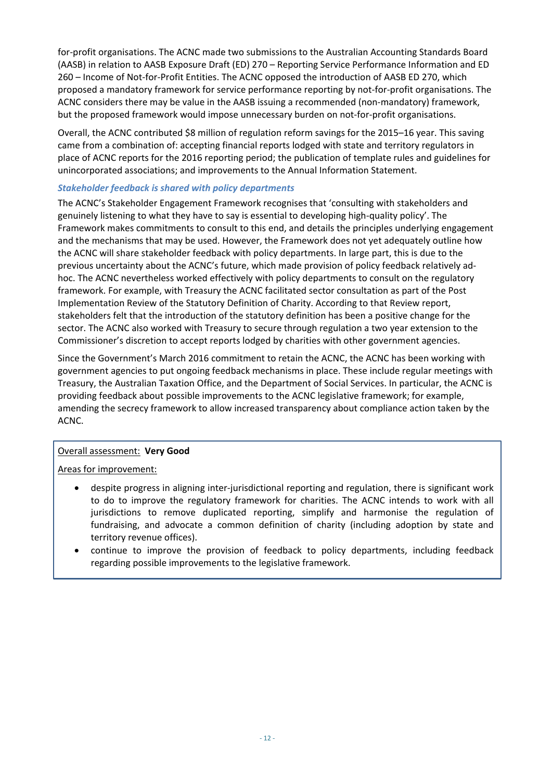for-profit organisations. The ACNC made two submissions to the Australian Accounting Standards Board (AASB) in relation to AASB Exposure Draft (ED) 270 – Reporting Service Performance Information and ED 260 – Income of Not-for-Profit Entities. The ACNC opposed the introduction of AASB ED 270, which proposed a mandatory framework for service performance reporting by not-for-profit organisations. The ACNC considers there may be value in the AASB issuing a recommended (non-mandatory) framework, but the proposed framework would impose unnecessary burden on not-for-profit organisations.

Overall, the ACNC contributed \$8 million of regulation reform savings for the 2015–16 year. This saving came from a combination of: accepting financial reports lodged with state and territory regulators in place of ACNC reports for the 2016 reporting period; the publication of template rules and guidelines for unincorporated associations; and improvements to the Annual Information Statement.

### *Stakeholder feedback is shared with policy departments*

The ACNC's Stakeholder Engagement Framework recognises that 'consulting with stakeholders and genuinely listening to what they have to say is essential to developing high-quality policy'. The Framework makes commitments to consult to this end, and details the principles underlying engagement and the mechanisms that may be used. However, the Framework does not yet adequately outline how the ACNC will share stakeholder feedback with policy departments. In large part, this is due to the previous uncertainty about the ACNC's future, which made provision of policy feedback relatively adhoc. The ACNC nevertheless worked effectively with policy departments to consult on the regulatory framework. For example, with Treasury the ACNC facilitated sector consultation as part of the Post Implementation Review of the Statutory Definition of Charity. According to that Review report, stakeholders felt that the introduction of the statutory definition has been a positive change for the sector. The ACNC also worked with Treasury to secure through regulation a two year extension to the Commissioner's discretion to accept reports lodged by charities with other government agencies.

Since the Government's March 2016 commitment to retain the ACNC, the ACNC has been working with government agencies to put ongoing feedback mechanisms in place. These include regular meetings with Treasury, the Australian Taxation Office, and the Department of Social Services. In particular, the ACNC is providing feedback about possible improvements to the ACNC legislative framework; for example, amending the secrecy framework to allow increased transparency about compliance action taken by the ACNC.

### Overall assessment: **Very Good**

Areas for improvement:

- despite progress in aligning inter-jurisdictional reporting and regulation, there is significant work to do to improve the regulatory framework for charities. The ACNC intends to work with all jurisdictions to remove duplicated reporting, simplify and harmonise the regulation of fundraising, and advocate a common definition of charity (including adoption by state and territory revenue offices).
- continue to improve the provision of feedback to policy departments, including feedback regarding possible improvements to the legislative framework.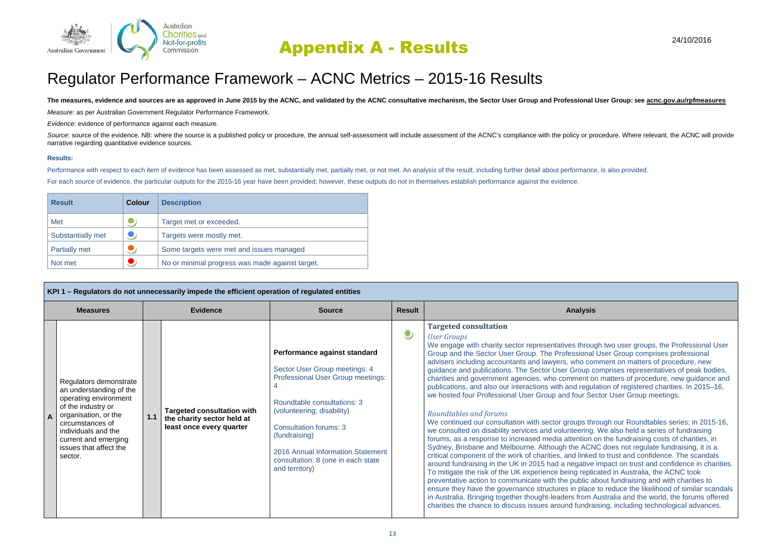

# Appendix A - Results

## Regulator Performance Framework – ACNC Metrics – 2015-16 Results

#### The measures, evidence and sources are as approved in June 2015 by the ACNC, and validated by the ACNC consultative mechanism, the Sector User Group and Professional User Group: see acnc.gov.au/rpfmeasures

*Measure*: as per Australian Government Regulator Performance Framework.

*Evidence*: evidence of performance against each measure.

Source: source of the evidence. NB: where the source is a published policy or procedure, the annual self-assessment will include assessment of the ACNC's compliance with the policy or procedure. Where relevant, the ACNC wi narrative regarding quantitative evidence sources.

#### **Results:**

Performance with respect to each item of evidence has been assessed as met, substantially met, partially met, or not met. An analysis of the result, including further detail about performance, is also provided.

For each *source* of evidence, the particular outputs for the 2015-16 year have been provided; however, these outputs do not in themselves establish performance against the evidence.

| <b>Result</b>        | Colour | <b>Description</b>                              |
|----------------------|--------|-------------------------------------------------|
| Met                  |        | Target met or exceeded.                         |
| Substantially met    |        | Targets were mostly met.                        |
| <b>Partially met</b> |        | Some targets were met and issues managed        |
| Not met              |        | No or minimal progress was made against target. |

| KPI 1 - Regulators do not unnecessarily impede the efficient operation of regulated entities                                                                                                                                     |  |                                                                                             |                                                                                                                                                                                                                                                                                                         |               |                                                                                                                                                                                                                                                                                                                                                                                                                                                                                                                                                                                                                                                                                                                                                                                                                                                                                                                                                                                                                                                                                                                                                                                                                                                                                                                                                                                                                                                                                                                                                                                                                                                                                                                                                                                                                                         |
|----------------------------------------------------------------------------------------------------------------------------------------------------------------------------------------------------------------------------------|--|---------------------------------------------------------------------------------------------|---------------------------------------------------------------------------------------------------------------------------------------------------------------------------------------------------------------------------------------------------------------------------------------------------------|---------------|-----------------------------------------------------------------------------------------------------------------------------------------------------------------------------------------------------------------------------------------------------------------------------------------------------------------------------------------------------------------------------------------------------------------------------------------------------------------------------------------------------------------------------------------------------------------------------------------------------------------------------------------------------------------------------------------------------------------------------------------------------------------------------------------------------------------------------------------------------------------------------------------------------------------------------------------------------------------------------------------------------------------------------------------------------------------------------------------------------------------------------------------------------------------------------------------------------------------------------------------------------------------------------------------------------------------------------------------------------------------------------------------------------------------------------------------------------------------------------------------------------------------------------------------------------------------------------------------------------------------------------------------------------------------------------------------------------------------------------------------------------------------------------------------------------------------------------------------|
| <b>Measures</b>                                                                                                                                                                                                                  |  | <b>Evidence</b>                                                                             | <b>Source</b>                                                                                                                                                                                                                                                                                           | <b>Result</b> | <b>Analysis</b>                                                                                                                                                                                                                                                                                                                                                                                                                                                                                                                                                                                                                                                                                                                                                                                                                                                                                                                                                                                                                                                                                                                                                                                                                                                                                                                                                                                                                                                                                                                                                                                                                                                                                                                                                                                                                         |
| Regulators demonstrate<br>an understanding of the<br>operating environment<br>of the industry or<br>organisation, or the<br>circumstances of<br>individuals and the<br>current and emerging<br>issues that affect the<br>sector. |  | <b>Targeted consultation with</b><br>the charity sector held at<br>least once every quarter | Performance against standard<br>Sector User Group meetings: 4<br>Professional User Group meetings:<br>Roundtable consultations: 3<br>(volunteering; disability)<br>Consultation forums: 3<br>(fundraising)<br>2016 Annual Information Statement<br>consultation: 8 (one in each state<br>and territory) | $\bullet$     | <b>Targeted consultation</b><br><b>User Groups</b><br>We engage with charity sector representatives through two user groups, the Professional User<br>Group and the Sector User Group. The Professional User Group comprises professional<br>advisers including accountants and lawyers, who comment on matters of procedure, new<br>guidance and publications. The Sector User Group comprises representatives of peak bodies,<br>charities and government agencies, who comment on matters of procedure, new guidance and<br>publications, and also our interactions with and regulation of registered charities. In 2015–16,<br>we hosted four Professional User Group and four Sector User Group meetings.<br>Roundtables and forums<br>We continued our consultation with sector groups through our Roundtables series; in 2015-16,<br>we consulted on disability services and volunteering. We also held a series of fundraising<br>forums, as a response to increased media attention on the fundraising costs of charities, in<br>Sydney, Brisbane and Melbourne. Although the ACNC does not regulate fundraising, it is a<br>critical component of the work of charities, and linked to trust and confidence. The scandals<br>around fundraising in the UK in 2015 had a negative impact on trust and confidence in charities.<br>To mitigate the risk of the UK experience being replicated in Australia, the ACNC took<br>preventative action to communicate with the public about fundraising and with charities to<br>ensure they have the governance structures in place to reduce the likelihood of similar scandals<br>in Australia. Bringing together thought-leaders from Australia and the world, the forums offered<br>charities the chance to discuss issues around fundraising, including technological advances. |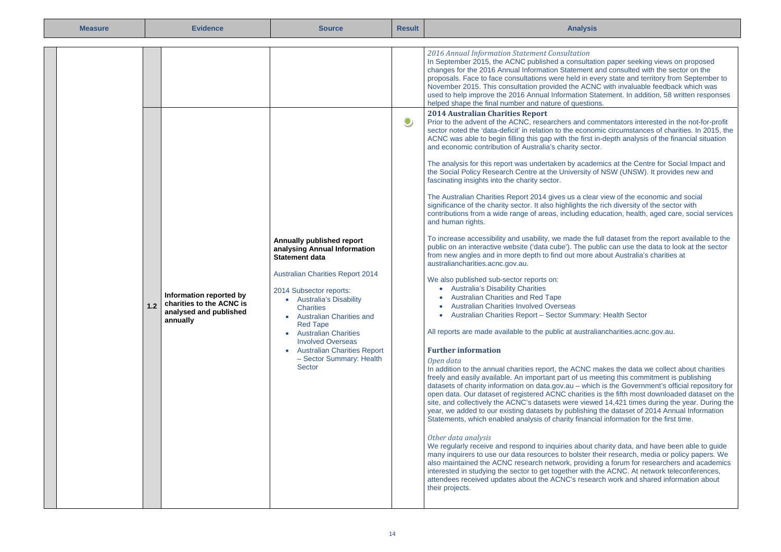| <b>Measure</b> | <b>Evidence</b>                                                                               | <b>Source</b>                                                                                                                                                                                                                                                                                                                                                                          | <b>Result</b> | <b>Analysis</b>                                                                                                                                                                                                                                                                                                                                                                                                                                                                                                                                                                                                                                                                                                                                                                                                                                                                                                                                                                                                                                                                                                                                                                                                                                                                                                                                                                                                                                                                                                                                                                                                                                                                                                                                                                                                                                                                                                                                                                                                                                                                                                                                                                                                                                                                                                                                                                                                                                                                                                                                                                                                                                                                                                                                                                                                                                                                                                                                                                                                                                                                                                                                                                                                                                                                                                                                                                                                                                                                                                                        |
|----------------|-----------------------------------------------------------------------------------------------|----------------------------------------------------------------------------------------------------------------------------------------------------------------------------------------------------------------------------------------------------------------------------------------------------------------------------------------------------------------------------------------|---------------|----------------------------------------------------------------------------------------------------------------------------------------------------------------------------------------------------------------------------------------------------------------------------------------------------------------------------------------------------------------------------------------------------------------------------------------------------------------------------------------------------------------------------------------------------------------------------------------------------------------------------------------------------------------------------------------------------------------------------------------------------------------------------------------------------------------------------------------------------------------------------------------------------------------------------------------------------------------------------------------------------------------------------------------------------------------------------------------------------------------------------------------------------------------------------------------------------------------------------------------------------------------------------------------------------------------------------------------------------------------------------------------------------------------------------------------------------------------------------------------------------------------------------------------------------------------------------------------------------------------------------------------------------------------------------------------------------------------------------------------------------------------------------------------------------------------------------------------------------------------------------------------------------------------------------------------------------------------------------------------------------------------------------------------------------------------------------------------------------------------------------------------------------------------------------------------------------------------------------------------------------------------------------------------------------------------------------------------------------------------------------------------------------------------------------------------------------------------------------------------------------------------------------------------------------------------------------------------------------------------------------------------------------------------------------------------------------------------------------------------------------------------------------------------------------------------------------------------------------------------------------------------------------------------------------------------------------------------------------------------------------------------------------------------------------------------------------------------------------------------------------------------------------------------------------------------------------------------------------------------------------------------------------------------------------------------------------------------------------------------------------------------------------------------------------------------------------------------------------------------------------------------------------------------|
|                | Information reported by<br>1.2 Charities to the ACNC is<br>analysed and published<br>annually | Annually published report<br>analysing Annual Information<br><b>Statement data</b><br><b>Australian Charities Report 2014</b><br>2014 Subsector reports:<br>• Australia's Disability<br><b>Charities</b><br>• Australian Charities and<br><b>Red Tape</b><br>• Australian Charities<br><b>Involved Overseas</b><br>• Australian Charities Report<br>- Sector Summary: Health<br>Sector | $\bullet$     | 2016 Annual Information Statement Consultation<br>In September 2015, the ACNC published a consultation paper seeking views on proposed<br>changes for the 2016 Annual Information Statement and consulted with the sector on the<br>proposals. Face to face consultations were held in every state and territory from September to<br>November 2015. This consultation provided the ACNC with invaluable feedback which was<br>used to help improve the 2016 Annual Information Statement. In addition, 58 written responses<br>helped shape the final number and nature of questions.<br><b>2014 Australian Charities Report</b><br>Prior to the advent of the ACNC, researchers and commentators interested in the not-for-profit<br>sector noted the 'data-deficit' in relation to the economic circumstances of charities. In 2015, the<br>ACNC was able to begin filling this gap with the first in-depth analysis of the financial situation<br>and economic contribution of Australia's charity sector.<br>The analysis for this report was undertaken by academics at the Centre for Social Impact and<br>the Social Policy Research Centre at the University of NSW (UNSW). It provides new and<br>fascinating insights into the charity sector.<br>The Australian Charities Report 2014 gives us a clear view of the economic and social<br>significance of the charity sector. It also highlights the rich diversity of the sector with<br>contributions from a wide range of areas, including education, health, aged care, social services<br>and human rights.<br>To increase accessibility and usability, we made the full dataset from the report available to the<br>public on an interactive website ('data cube'). The public can use the data to look at the sector<br>from new angles and in more depth to find out more about Australia's charities at<br>australiancharities.acnc.gov.au.<br>We also published sub-sector reports on:<br>• Australia's Disability Charities<br>• Australian Charities and Red Tape<br><b>Australian Charities Involved Overseas</b><br>• Australian Charities Report - Sector Summary: Health Sector<br>All reports are made available to the public at australiancharities.acnc.gov.au.<br><b>Further information</b><br>Open data<br>In addition to the annual charities report, the ACNC makes the data we collect about charities<br>freely and easily available. An important part of us meeting this commitment is publishing<br>datasets of charity information on data.gov.au - which is the Government's official repository for<br>open data. Our dataset of registered ACNC charities is the fifth most downloaded dataset on the<br>site, and collectively the ACNC's datasets were viewed 14,421 times during the year. During the<br>year, we added to our existing datasets by publishing the dataset of 2014 Annual Information<br>Statements, which enabled analysis of charity financial information for the first time.<br>Other data analysis<br>We regularly receive and respond to inquiries about charity data, and have been able to guide<br>many inquirers to use our data resources to bolster their research, media or policy papers. We<br>also maintained the ACNC research network, providing a forum for researchers and academics<br>interested in studying the sector to get together with the ACNC. At network teleconferences,<br>attendees received updates about the ACNC's research work and shared information about<br>their projects. |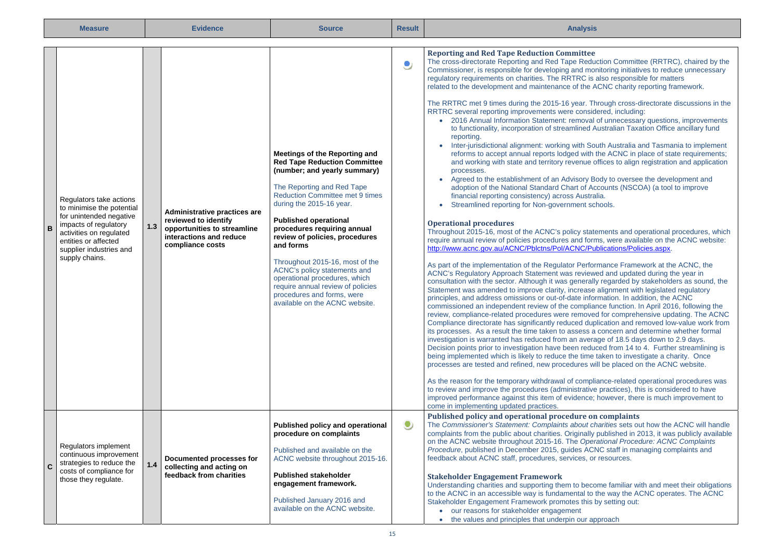|                | <b>Measure</b>                                                                                                                                                                                           |       | <b>Evidence</b>                                                                                                                    | <b>Source</b>                                                                                                                                                                                                                                                                                                                                                                                                                                                                                                                   | <b>Result</b> | <b>Analysis</b>                                                                                                                                                                                                                                                                                                                                                                                                                                                                                                                                                                                                                                                                                                                                                                                                                                                                                                                                                                                                                                                                                                                                                                                                                                                                                                                                                                                                                                                                                                                                                                                                                                                                                                                                                                                                                                                                                                                                                                                                                                                                                                                                                                                                                                                                                                                                                                                                                                                                                                                                                                                                                                                                                                                                                                                                                                                                                                                                                                                                                                                                                                                                                                                                                                                        |
|----------------|----------------------------------------------------------------------------------------------------------------------------------------------------------------------------------------------------------|-------|------------------------------------------------------------------------------------------------------------------------------------|---------------------------------------------------------------------------------------------------------------------------------------------------------------------------------------------------------------------------------------------------------------------------------------------------------------------------------------------------------------------------------------------------------------------------------------------------------------------------------------------------------------------------------|---------------|------------------------------------------------------------------------------------------------------------------------------------------------------------------------------------------------------------------------------------------------------------------------------------------------------------------------------------------------------------------------------------------------------------------------------------------------------------------------------------------------------------------------------------------------------------------------------------------------------------------------------------------------------------------------------------------------------------------------------------------------------------------------------------------------------------------------------------------------------------------------------------------------------------------------------------------------------------------------------------------------------------------------------------------------------------------------------------------------------------------------------------------------------------------------------------------------------------------------------------------------------------------------------------------------------------------------------------------------------------------------------------------------------------------------------------------------------------------------------------------------------------------------------------------------------------------------------------------------------------------------------------------------------------------------------------------------------------------------------------------------------------------------------------------------------------------------------------------------------------------------------------------------------------------------------------------------------------------------------------------------------------------------------------------------------------------------------------------------------------------------------------------------------------------------------------------------------------------------------------------------------------------------------------------------------------------------------------------------------------------------------------------------------------------------------------------------------------------------------------------------------------------------------------------------------------------------------------------------------------------------------------------------------------------------------------------------------------------------------------------------------------------------------------------------------------------------------------------------------------------------------------------------------------------------------------------------------------------------------------------------------------------------------------------------------------------------------------------------------------------------------------------------------------------------------------------------------------------------------------------------------------------------|
| $\overline{B}$ | Regulators take actions<br>to minimise the potential<br>for unintended negative<br>impacts of regulatory<br>activities on regulated<br>entities or affected<br>supplier industries and<br>supply chains. | $1.3$ | Administrative practices are<br>reviewed to identify<br>opportunities to streamline<br>interactions and reduce<br>compliance costs | Meetings of the Reporting and<br><b>Red Tape Reduction Committee</b><br>(number; and yearly summary)<br>The Reporting and Red Tape<br><b>Reduction Committee met 9 times</b><br>during the 2015-16 year.<br><b>Published operational</b><br>procedures requiring annual<br>review of policies, procedures<br>and forms<br>Throughout 2015-16, most of the<br>ACNC's policy statements and<br>operational procedures, which<br>require annual review of policies<br>procedures and forms, were<br>available on the ACNC website. | ۹             | <b>Reporting and Red Tape Reduction Committee</b><br>The cross-directorate Reporting and Red Tape Reduction Committee (RRTRC), chaired by the<br>Commissioner, is responsible for developing and monitoring initiatives to reduce unnecessary<br>regulatory requirements on charities. The RRTRC is also responsible for matters<br>related to the development and maintenance of the ACNC charity reporting framework.<br>The RRTRC met 9 times during the 2015-16 year. Through cross-directorate discussions in the<br>RRTRC several reporting improvements were considered, including:<br>• 2016 Annual Information Statement: removal of unnecessary questions, improvements<br>to functionality, incorporation of streamlined Australian Taxation Office ancillary fund<br>reporting.<br>• Inter-jurisdictional alignment: working with South Australia and Tasmania to implement<br>reforms to accept annual reports lodged with the ACNC in place of state requirements;<br>and working with state and territory revenue offices to align registration and application<br>processes.<br>• Agreed to the establishment of an Advisory Body to oversee the development and<br>adoption of the National Standard Chart of Accounts (NSCOA) (a tool to improve<br>financial reporting consistency) across Australia.<br>Streamlined reporting for Non-government schools.<br><b>Operational procedures</b><br>Throughout 2015-16, most of the ACNC's policy statements and operational procedures, which<br>require annual review of policies procedures and forms, were available on the ACNC website:<br>http://www.acnc.gov.au/ACNC/Pblctns/Pol/ACNC/Publications/Policies.aspx.<br>As part of the implementation of the Regulator Performance Framework at the ACNC, the<br>ACNC's Regulatory Approach Statement was reviewed and updated during the year in<br>consultation with the sector. Although it was generally regarded by stakeholders as sound, the<br>Statement was amended to improve clarity, increase alignment with legislated regulatory<br>principles, and address omissions or out-of-date information. In addition, the ACNC<br>commissioned an independent review of the compliance function. In April 2016, following the<br>review, compliance-related procedures were removed for comprehensive updating. The ACNC<br>Compliance directorate has significantly reduced duplication and removed low-value work from<br>its processes. As a result the time taken to assess a concern and determine whether formal<br>investigation is warranted has reduced from an average of 18.5 days down to 2.9 days.<br>Decision points prior to investigation have been reduced from 14 to 4. Further streamlining is<br>being implemented which is likely to reduce the time taken to investigate a charity. Once<br>processes are tested and refined, new procedures will be placed on the ACNC website.<br>As the reason for the temporary withdrawal of compliance-related operational procedures was<br>to review and improve the procedures (administrative practices), this is considered to have<br>improved performance against this item of evidence; however, there is much improvement to<br>come in implementing updated practices. |
|                | Regulators implement<br>continuous improvement<br>strategies to reduce the<br>$\mathbf{C}$<br>costs of compliance for<br>those they regulate.                                                            | $1.4$ | Documented processes for<br>collecting and acting on<br>feedback from charities                                                    | Published policy and operational<br>procedure on complaints<br>Published and available on the<br>ACNC website throughout 2015-16.<br><b>Published stakeholder</b><br>engagement framework.<br>Published January 2016 and<br>available on the ACNC website.                                                                                                                                                                                                                                                                      | $\bullet$     | Published policy and operational procedure on complaints<br>The Commissioner's Statement: Complaints about charities sets out how the ACNC will handle<br>complaints from the public about charities. Originally published in 2013, it was publicly available<br>on the ACNC website throughout 2015-16. The Operational Procedure: ACNC Complaints<br>Procedure, published in December 2015, guides ACNC staff in managing complaints and<br>feedback about ACNC staff, procedures, services, or resources.<br><b>Stakeholder Engagement Framework</b><br>Understanding charities and supporting them to become familiar with and meet their obligations<br>to the ACNC in an accessible way is fundamental to the way the ACNC operates. The ACNC<br>Stakeholder Engagement Framework promotes this by setting out:<br>• our reasons for stakeholder engagement<br>• the values and principles that underpin our approach                                                                                                                                                                                                                                                                                                                                                                                                                                                                                                                                                                                                                                                                                                                                                                                                                                                                                                                                                                                                                                                                                                                                                                                                                                                                                                                                                                                                                                                                                                                                                                                                                                                                                                                                                                                                                                                                                                                                                                                                                                                                                                                                                                                                                                                                                                                                            |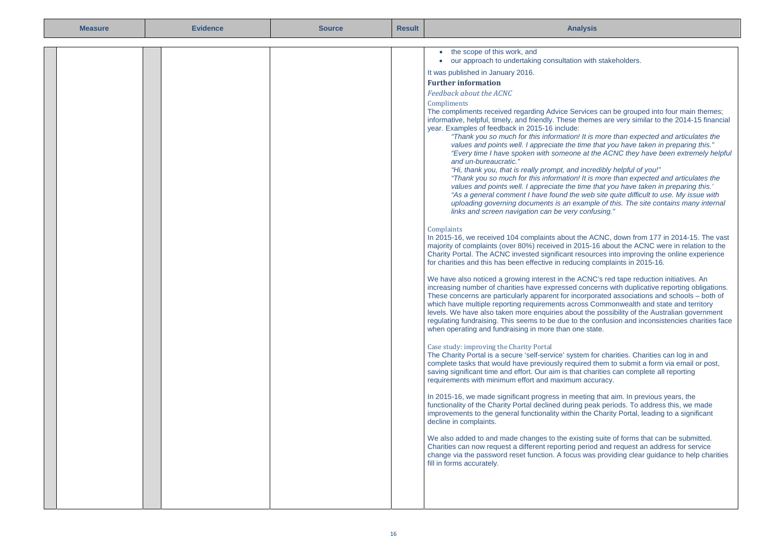| <b>Measure</b> | <b>Evidence</b> | <b>Source</b> | <b>Result</b> | <b>Analysis</b>                                                                                                                                                                                                                                                                                                                                                                                                                                                                                                                                                                                                                                                                                                                                                                                                                                                                                                                                                                                                                                                                                                                                                                                                                                                                                                                                                                                                                                                                                                                                                                                                                                                                                                                                                                                                                                                                                                                                                                                                                                                                                                                                                                                                                                                                                                                                                                                                                                                                                                                                                                                                                                                                                                                                                                                                                                                                                                                                                                                                                                                                                                                                                                                                                                                                                                                                                 |
|----------------|-----------------|---------------|---------------|-----------------------------------------------------------------------------------------------------------------------------------------------------------------------------------------------------------------------------------------------------------------------------------------------------------------------------------------------------------------------------------------------------------------------------------------------------------------------------------------------------------------------------------------------------------------------------------------------------------------------------------------------------------------------------------------------------------------------------------------------------------------------------------------------------------------------------------------------------------------------------------------------------------------------------------------------------------------------------------------------------------------------------------------------------------------------------------------------------------------------------------------------------------------------------------------------------------------------------------------------------------------------------------------------------------------------------------------------------------------------------------------------------------------------------------------------------------------------------------------------------------------------------------------------------------------------------------------------------------------------------------------------------------------------------------------------------------------------------------------------------------------------------------------------------------------------------------------------------------------------------------------------------------------------------------------------------------------------------------------------------------------------------------------------------------------------------------------------------------------------------------------------------------------------------------------------------------------------------------------------------------------------------------------------------------------------------------------------------------------------------------------------------------------------------------------------------------------------------------------------------------------------------------------------------------------------------------------------------------------------------------------------------------------------------------------------------------------------------------------------------------------------------------------------------------------------------------------------------------------------------------------------------------------------------------------------------------------------------------------------------------------------------------------------------------------------------------------------------------------------------------------------------------------------------------------------------------------------------------------------------------------------------------------------------------------------------------------------------------------|
|                |                 |               |               | • the scope of this work, and<br>• our approach to undertaking consultation with stakeholders.<br>It was published in January 2016.<br><b>Further information</b><br>Feedback about the ACNC<br>Compliments<br>The compliments received regarding Advice Services can be grouped into four main themes;<br>informative, helpful, timely, and friendly. These themes are very similar to the 2014-15 financial<br>year. Examples of feedback in 2015-16 include:<br>"Thank you so much for this information! It is more than expected and articulates the<br>values and points well. I appreciate the time that you have taken in preparing this."<br>"Every time I have spoken with someone at the ACNC they have been extremely helpful<br>and un-bureaucratic."<br>"Hi, thank you, that is really prompt, and incredibly helpful of you!"<br>"Thank you so much for this information! It is more than expected and articulates the<br>values and points well. I appreciate the time that you have taken in preparing this.'<br>"As a general comment I have found the web site quite difficult to use. My issue with<br>uploading governing documents is an example of this. The site contains many internal<br>links and screen navigation can be very confusing."<br>Complaints<br>In 2015-16, we received 104 complaints about the ACNC, down from 177 in 2014-15. The vast<br>majority of complaints (over 80%) received in 2015-16 about the ACNC were in relation to the<br>Charity Portal. The ACNC invested significant resources into improving the online experience<br>for charities and this has been effective in reducing complaints in 2015-16.<br>We have also noticed a growing interest in the ACNC's red tape reduction initiatives. An<br>increasing number of charities have expressed concerns with duplicative reporting obligations.<br>These concerns are particularly apparent for incorporated associations and schools – both of<br>which have multiple reporting requirements across Commonwealth and state and territory<br>levels. We have also taken more enquiries about the possibility of the Australian government<br>regulating fundraising. This seems to be due to the confusion and inconsistencies charities face<br>when operating and fundraising in more than one state.<br>Case study: improving the Charity Portal<br>The Charity Portal is a secure 'self-service' system for charities. Charities can log in and<br>complete tasks that would have previously required them to submit a form via email or post,<br>saving significant time and effort. Our aim is that charities can complete all reporting<br>requirements with minimum effort and maximum accuracy.<br>In 2015-16, we made significant progress in meeting that aim. In previous years, the<br>functionality of the Charity Portal declined during peak periods. To address this, we made<br>improvements to the general functionality within the Charity Portal, leading to a significant<br>decline in complaints.<br>We also added to and made changes to the existing suite of forms that can be submitted.<br>Charities can now request a different reporting period and request an address for service<br>change via the password reset function. A focus was providing clear guidance to help charities<br>fill in forms accurately. |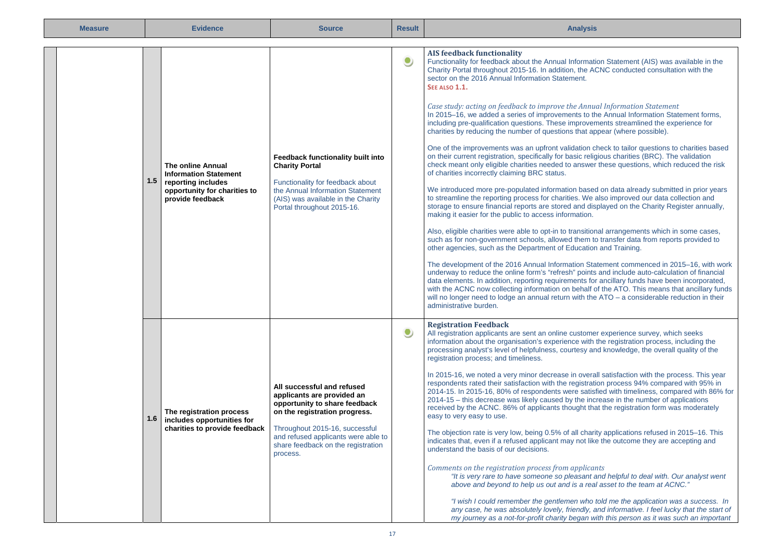| <b>Measure</b> |     | <b>Evidence</b>                                                                                                                    | <b>Source</b>                                                                                                                                                                                                                                         | <b>Result</b> | <b>Analysis</b>                                                                                                                                                                                                                                                                                                                                                                                                                                                                                                                                                                                                                                                                                                                                                                                                                                                                                                                                                                                                                                                                                                                                                                                                                                                                                                                                                                                                                                                                                                                                                                                                                                                                                                                                                                                                                                                                                                                                                                                                                                                                                                                                                               |
|----------------|-----|------------------------------------------------------------------------------------------------------------------------------------|-------------------------------------------------------------------------------------------------------------------------------------------------------------------------------------------------------------------------------------------------------|---------------|-------------------------------------------------------------------------------------------------------------------------------------------------------------------------------------------------------------------------------------------------------------------------------------------------------------------------------------------------------------------------------------------------------------------------------------------------------------------------------------------------------------------------------------------------------------------------------------------------------------------------------------------------------------------------------------------------------------------------------------------------------------------------------------------------------------------------------------------------------------------------------------------------------------------------------------------------------------------------------------------------------------------------------------------------------------------------------------------------------------------------------------------------------------------------------------------------------------------------------------------------------------------------------------------------------------------------------------------------------------------------------------------------------------------------------------------------------------------------------------------------------------------------------------------------------------------------------------------------------------------------------------------------------------------------------------------------------------------------------------------------------------------------------------------------------------------------------------------------------------------------------------------------------------------------------------------------------------------------------------------------------------------------------------------------------------------------------------------------------------------------------------------------------------------------------|
|                | 1.5 | <b>The online Annual</b><br><b>Information Statement</b><br>reporting includes<br>opportunity for charities to<br>provide feedback | Feedback functionality built into<br><b>Charity Portal</b><br>Functionality for feedback about<br>the Annual Information Statement<br>(AIS) was available in the Charity<br>Portal throughout 2015-16.                                                | $\bullet$     | <b>AIS feedback functionality</b><br>Functionality for feedback about the Annual Information Statement (AIS) was available in the<br>Charity Portal throughout 2015-16. In addition, the ACNC conducted consultation with the<br>sector on the 2016 Annual Information Statement.<br>SEE ALSO 1.1.<br>Case study: acting on feedback to improve the Annual Information Statement<br>In 2015-16, we added a series of improvements to the Annual Information Statement forms,<br>including pre-qualification questions. These improvements streamlined the experience for<br>charities by reducing the number of questions that appear (where possible).<br>One of the improvements was an upfront validation check to tailor questions to charities based<br>on their current registration, specifically for basic religious charities (BRC). The validation<br>check meant only eligible charities needed to answer these questions, which reduced the risk<br>of charities incorrectly claiming BRC status.<br>We introduced more pre-populated information based on data already submitted in prior years<br>to streamline the reporting process for charities. We also improved our data collection and<br>storage to ensure financial reports are stored and displayed on the Charity Register annually,<br>making it easier for the public to access information.<br>Also, eligible charities were able to opt-in to transitional arrangements which in some cases,<br>such as for non-government schools, allowed them to transfer data from reports provided to<br>other agencies, such as the Department of Education and Training.<br>The development of the 2016 Annual Information Statement commenced in 2015-16, with work<br>underway to reduce the online form's "refresh" points and include auto-calculation of financial<br>data elements. In addition, reporting requirements for ancillary funds have been incorporated,<br>with the ACNC now collecting information on behalf of the ATO. This means that ancillary funds<br>will no longer need to lodge an annual return with the $ATO - a$ considerable reduction in their<br>administrative burden. |
|                | 1.6 | The registration process<br>includes opportunities for<br>charities to provide feedback                                            | All successful and refused<br>applicants are provided an<br>opportunity to share feedback<br>on the registration progress.<br>Throughout 2015-16, successful<br>and refused applicants were able to<br>share feedback on the registration<br>process. | $\bullet$     | <b>Registration Feedback</b><br>All registration applicants are sent an online customer experience survey, which seeks<br>information about the organisation's experience with the registration process, including the<br>processing analyst's level of helpfulness, courtesy and knowledge, the overall quality of the<br>registration process; and timeliness.<br>In 2015-16, we noted a very minor decrease in overall satisfaction with the process. This year<br>respondents rated their satisfaction with the registration process 94% compared with 95% in<br>2014-15. In 2015-16, 80% of respondents were satisfied with timeliness, compared with 86% for<br>2014-15 – this decrease was likely caused by the increase in the number of applications<br>received by the ACNC. 86% of applicants thought that the registration form was moderately<br>easy to very easy to use.<br>The objection rate is very low, being 0.5% of all charity applications refused in 2015-16. This<br>indicates that, even if a refused applicant may not like the outcome they are accepting and<br>understand the basis of our decisions.<br>Comments on the registration process from applicants<br>"It is very rare to have someone so pleasant and helpful to deal with. Our analyst went<br>above and beyond to help us out and is a real asset to the team at ACNC."<br>"I wish I could remember the gentlemen who told me the application was a success. In<br>any case, he was absolutely lovely, friendly, and informative. I feel lucky that the start of<br>my journey as a not-for-profit charity began with this person as it was such an important                                                                                                                                                                                                                                                                                                                                                                                                                                                                                                                     |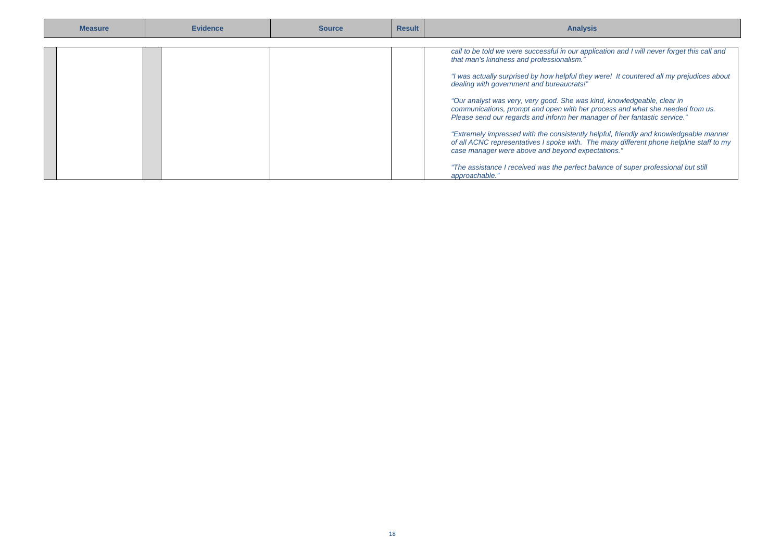| call to be told we were successful in our application and I will never forget this call and<br>that man's kindness and professionalism."                                                                                                                                                                                                                                         | <b>Measure</b> | <b>Evidence</b> | <b>Source</b> | <b>Result</b> | <b>Analysis</b>                                                                                                                                                                                                                                                                                                           |
|----------------------------------------------------------------------------------------------------------------------------------------------------------------------------------------------------------------------------------------------------------------------------------------------------------------------------------------------------------------------------------|----------------|-----------------|---------------|---------------|---------------------------------------------------------------------------------------------------------------------------------------------------------------------------------------------------------------------------------------------------------------------------------------------------------------------------|
| "Our analyst was very, very good. She was kind, knowledgeable, clear in<br>communications, prompt and open with her process and what she needed from us.<br>Please send our regards and inform her manager of her fantastic service."<br>case manager were above and beyond expectations."<br>"The assistance I received was the perfect balance of super professional but still |                |                 |               |               | "I was actually surprised by how helpful they were! It countered all my prejudices about<br>dealing with government and bureaucrats!"<br>"Extremely impressed with the consistently helpful, friendly and knowledgeable manner<br>of all ACNC representatives I spoke with. The many different phone helpline staff to my |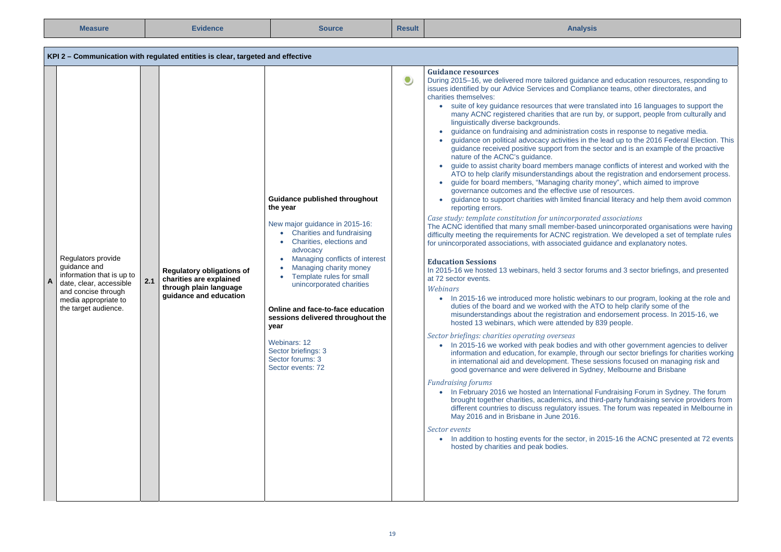| <b>Measure</b>                                                                                                                                                    |     | <b>Evidence</b>                                                                                          | <b>Source</b>                                                                                                                                                                                                                                                                                                                                                                                                                                         | <b>Result</b> | <b>Analysis</b>                                                                                                                                                                                                                                                                                                                                                                                                                                                                                                                                                                                                                                                                                                                                                                                                                                                                                                                                                                                                                                                                                                                                                                                                                                                                                                                                                                                                                                                                                                                                                                                                                                                                                                                                                                                                                                                                                                                                                                                                                                                                                                                                                                                                                                                                                                                                                                                                                                                                                                                                                                                                                                                                                                                                                                                                                                                                                                                                                                                                                        |
|-------------------------------------------------------------------------------------------------------------------------------------------------------------------|-----|----------------------------------------------------------------------------------------------------------|-------------------------------------------------------------------------------------------------------------------------------------------------------------------------------------------------------------------------------------------------------------------------------------------------------------------------------------------------------------------------------------------------------------------------------------------------------|---------------|----------------------------------------------------------------------------------------------------------------------------------------------------------------------------------------------------------------------------------------------------------------------------------------------------------------------------------------------------------------------------------------------------------------------------------------------------------------------------------------------------------------------------------------------------------------------------------------------------------------------------------------------------------------------------------------------------------------------------------------------------------------------------------------------------------------------------------------------------------------------------------------------------------------------------------------------------------------------------------------------------------------------------------------------------------------------------------------------------------------------------------------------------------------------------------------------------------------------------------------------------------------------------------------------------------------------------------------------------------------------------------------------------------------------------------------------------------------------------------------------------------------------------------------------------------------------------------------------------------------------------------------------------------------------------------------------------------------------------------------------------------------------------------------------------------------------------------------------------------------------------------------------------------------------------------------------------------------------------------------------------------------------------------------------------------------------------------------------------------------------------------------------------------------------------------------------------------------------------------------------------------------------------------------------------------------------------------------------------------------------------------------------------------------------------------------------------------------------------------------------------------------------------------------------------------------------------------------------------------------------------------------------------------------------------------------------------------------------------------------------------------------------------------------------------------------------------------------------------------------------------------------------------------------------------------------------------------------------------------------------------------------------------------------|
|                                                                                                                                                                   |     | KPI 2 – Communication with regulated entities is clear, targeted and effective                           |                                                                                                                                                                                                                                                                                                                                                                                                                                                       |               |                                                                                                                                                                                                                                                                                                                                                                                                                                                                                                                                                                                                                                                                                                                                                                                                                                                                                                                                                                                                                                                                                                                                                                                                                                                                                                                                                                                                                                                                                                                                                                                                                                                                                                                                                                                                                                                                                                                                                                                                                                                                                                                                                                                                                                                                                                                                                                                                                                                                                                                                                                                                                                                                                                                                                                                                                                                                                                                                                                                                                                        |
| Regulators provide<br>guidance and<br>information that is up to<br>date, clear, accessible<br>and concise through<br>media appropriate to<br>the target audience. | 2.1 | Regulatory obligations of<br>charities are explained<br>through plain language<br>quidance and education | Guidance published throughout<br>the year<br>New major guidance in 2015-16:<br>• Charities and fundraising<br>Charities, elections and<br>$\bullet$<br>advocacy<br>Managing conflicts of interest<br>Managing charity money<br>Template rules for small<br>unincorporated charities<br>Online and face-to-face education<br>sessions delivered throughout the<br>year<br>Webinars: 12<br>Sector briefings: 3<br>Sector forums: 3<br>Sector events: 72 | $\bullet$     | <b>Guidance resources</b><br>During 2015-16, we delivered more tailored guidance and education resources, responding to<br>issues identified by our Advice Services and Compliance teams, other directorates, and<br>charities themselves:<br>• suite of key guidance resources that were translated into 16 languages to support the<br>many ACNC registered charities that are run by, or support, people from culturally and<br>linguistically diverse backgrounds.<br>guidance on fundraising and administration costs in response to negative media.<br>٠<br>guidance on political advocacy activities in the lead up to the 2016 Federal Election. This<br>quidance received positive support from the sector and is an example of the proactive<br>nature of the ACNC's guidance.<br>guide to assist charity board members manage conflicts of interest and worked with the<br>$\bullet$<br>ATO to help clarify misunderstandings about the registration and endorsement process.<br>guide for board members, "Managing charity money", which aimed to improve<br>governance outcomes and the effective use of resources.<br>guidance to support charities with limited financial literacy and help them avoid common<br>$\bullet$<br>reporting errors.<br>Case study: template constitution for unincorporated associations<br>The ACNC identified that many small member-based unincorporated organisations were having<br>difficulty meeting the requirements for ACNC registration. We developed a set of template rules<br>for unincorporated associations, with associated guidance and explanatory notes.<br><b>Education Sessions</b><br>In 2015-16 we hosted 13 webinars, held 3 sector forums and 3 sector briefings, and presented<br>at 72 sector events.<br>Webinars<br>• In 2015-16 we introduced more holistic webinars to our program, looking at the role and<br>duties of the board and we worked with the ATO to help clarify some of the<br>misunderstandings about the registration and endorsement process. In 2015-16, we<br>hosted 13 webinars, which were attended by 839 people.<br>Sector briefings: charities operating overseas<br>• In 2015-16 we worked with peak bodies and with other government agencies to deliver<br>information and education, for example, through our sector briefings for charities working<br>in international aid and development. These sessions focused on managing risk and<br>good governance and were delivered in Sydney, Melbourne and Brisbane<br><b>Fundraising forums</b><br>• In February 2016 we hosted an International Fundraising Forum in Sydney. The forum<br>brought together charities, academics, and third-party fundraising service providers from<br>different countries to discuss regulatory issues. The forum was repeated in Melbourne in<br>May 2016 and in Brisbane in June 2016.<br>Sector events<br>• In addition to hosting events for the sector, in 2015-16 the ACNC presented at 72 events<br>hosted by charities and peak bodies. |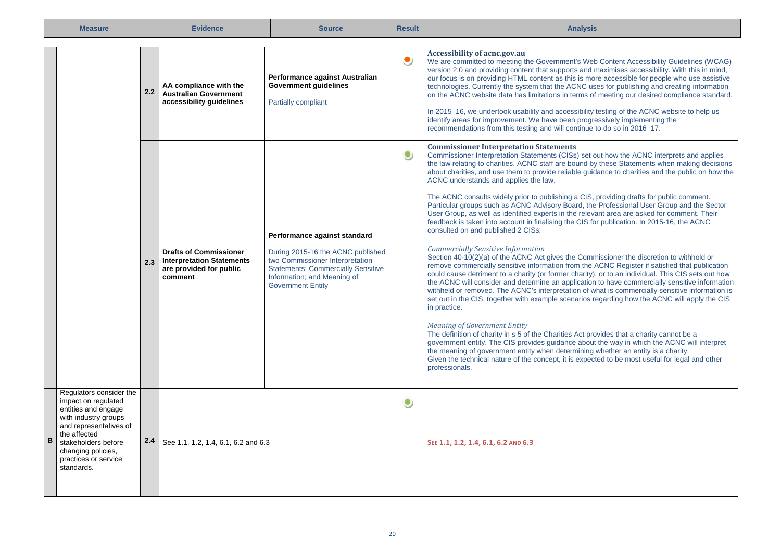| <b>Measure</b>                                                                                                                                                                                                                  |     | <b>Evidence</b>                                                                                         | <b>Source</b>                                                                                                                                                                                                | <b>Result</b> | <b>Analysis</b>                                                                                                                                                                                                                                                                                                                                                                                                                                                                                                                                                                                                                                                                                                                                                                                                                                                                                                                                                                                                                                                                                                                                                                                                                                                                                                                                                                                                                                                                                                                                                                                                                                                                                                                                                                                                                                                                                                                           |
|---------------------------------------------------------------------------------------------------------------------------------------------------------------------------------------------------------------------------------|-----|---------------------------------------------------------------------------------------------------------|--------------------------------------------------------------------------------------------------------------------------------------------------------------------------------------------------------------|---------------|-------------------------------------------------------------------------------------------------------------------------------------------------------------------------------------------------------------------------------------------------------------------------------------------------------------------------------------------------------------------------------------------------------------------------------------------------------------------------------------------------------------------------------------------------------------------------------------------------------------------------------------------------------------------------------------------------------------------------------------------------------------------------------------------------------------------------------------------------------------------------------------------------------------------------------------------------------------------------------------------------------------------------------------------------------------------------------------------------------------------------------------------------------------------------------------------------------------------------------------------------------------------------------------------------------------------------------------------------------------------------------------------------------------------------------------------------------------------------------------------------------------------------------------------------------------------------------------------------------------------------------------------------------------------------------------------------------------------------------------------------------------------------------------------------------------------------------------------------------------------------------------------------------------------------------------------|
|                                                                                                                                                                                                                                 | 2.2 | AA compliance with the<br><b>Australian Government</b><br>accessibility guidelines                      | Performance against Australian<br><b>Government guidelines</b><br><b>Partially compliant</b>                                                                                                                 | $\bullet$     | Accessibility of acnc.gov.au<br>We are committed to meeting the Government's Web Content Accessibility Guidelines (WCAG)<br>version 2.0 and providing content that supports and maximises accessibility. With this in mind,<br>our focus is on providing HTML content as this is more accessible for people who use assistive<br>technologies. Currently the system that the ACNC uses for publishing and creating information<br>on the ACNC website data has limitations in terms of meeting our desired compliance standard.<br>In 2015–16, we undertook usability and accessibility testing of the ACNC website to help us<br>identify areas for improvement. We have been progressively implementing the<br>recommendations from this testing and will continue to do so in 2016-17.                                                                                                                                                                                                                                                                                                                                                                                                                                                                                                                                                                                                                                                                                                                                                                                                                                                                                                                                                                                                                                                                                                                                                 |
|                                                                                                                                                                                                                                 | 2.3 | <b>Drafts of Commissioner</b><br><b>Interpretation Statements</b><br>are provided for public<br>comment | Performance against standard<br>During 2015-16 the ACNC published<br>two Commissioner Interpretation<br><b>Statements: Commercially Sensitive</b><br>Information; and Meaning of<br><b>Government Entity</b> | $\bullet$     | <b>Commissioner Interpretation Statements</b><br>Commissioner Interpretation Statements (CISs) set out how the ACNC interprets and applies<br>the law relating to charities. ACNC staff are bound by these Statements when making decisions<br>about charities, and use them to provide reliable guidance to charities and the public on how the<br>ACNC understands and applies the law.<br>The ACNC consults widely prior to publishing a CIS, providing drafts for public comment.<br>Particular groups such as ACNC Advisory Board, the Professional User Group and the Sector<br>User Group, as well as identified experts in the relevant area are asked for comment. Their<br>feedback is taken into account in finalising the CIS for publication. In 2015-16, the ACNC<br>consulted on and published 2 CISs:<br><b>Commercially Sensitive Information</b><br>Section 40-10(2)(a) of the ACNC Act gives the Commissioner the discretion to withhold or<br>remove commercially sensitive information from the ACNC Register if satisfied that publication<br>could cause detriment to a charity (or former charity), or to an individual. This CIS sets out how<br>the ACNC will consider and determine an application to have commercially sensitive information<br>withheld or removed. The ACNC's interpretation of what is commercially sensitive information is<br>set out in the CIS, together with example scenarios regarding how the ACNC will apply the CIS<br>in practice.<br><b>Meaning of Government Entity</b><br>The definition of charity in s 5 of the Charities Act provides that a charity cannot be a<br>government entity. The CIS provides guidance about the way in which the ACNC will interpret<br>the meaning of government entity when determining whether an entity is a charity.<br>Given the technical nature of the concept, it is expected to be most useful for legal and other<br>professionals. |
| Regulators consider the<br>impact on regulated<br>entities and engage<br>with industry groups<br>and representatives of<br>the affected<br>B<br>stakeholders before<br>changing policies,<br>practices or service<br>standards. | 2.4 | See 1.1, 1.2, 1.4, 6.1, 6.2 and 6.3                                                                     |                                                                                                                                                                                                              | $\bullet$     | SEE 1.1, 1.2, 1.4, 6.1, 6.2 AND 6.3                                                                                                                                                                                                                                                                                                                                                                                                                                                                                                                                                                                                                                                                                                                                                                                                                                                                                                                                                                                                                                                                                                                                                                                                                                                                                                                                                                                                                                                                                                                                                                                                                                                                                                                                                                                                                                                                                                       |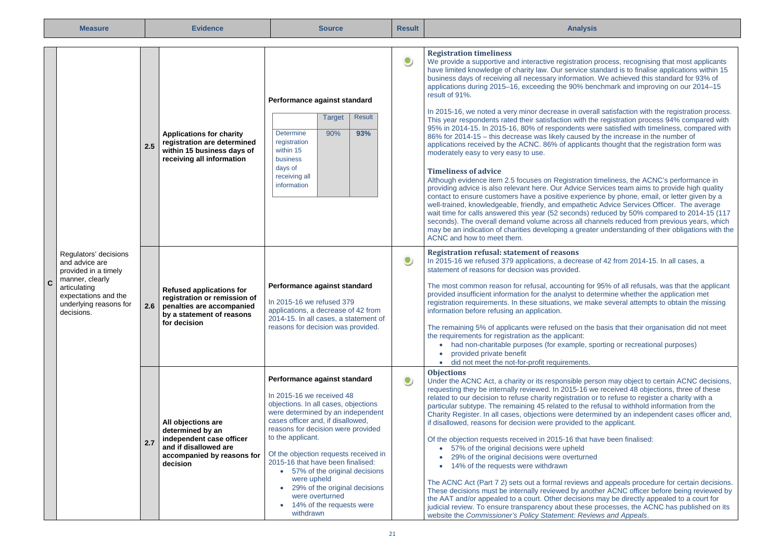|                                                                                                                                                                                                                                                                  | <b>Measure</b>                                                                                                                                                                    |           | <b>Evidence</b>                                                                                                                                                                                                                                                                                                                                                                                                                                                                                                                                                                                                                                                                                                                                                                                                                                                                                                                                                                                                                                                                                                                                                                                                                                                                                                                                                                                                                                                                                                                                                                                                                                                                                                                               | <b>Source</b>                                                                                                                                                                                                                                                                                                                                                                                                                                                                                 | <b>Result</b> | <b>Analysis</b>                                                                                                                                                                                                                                                                                                                                                                                                                                                                                                                                                                                                                                                                                                                                                                                                                                                                                                                                                                                                                                                                                                                                                                                                                                                                           |
|------------------------------------------------------------------------------------------------------------------------------------------------------------------------------------------------------------------------------------------------------------------|-----------------------------------------------------------------------------------------------------------------------------------------------------------------------------------|-----------|-----------------------------------------------------------------------------------------------------------------------------------------------------------------------------------------------------------------------------------------------------------------------------------------------------------------------------------------------------------------------------------------------------------------------------------------------------------------------------------------------------------------------------------------------------------------------------------------------------------------------------------------------------------------------------------------------------------------------------------------------------------------------------------------------------------------------------------------------------------------------------------------------------------------------------------------------------------------------------------------------------------------------------------------------------------------------------------------------------------------------------------------------------------------------------------------------------------------------------------------------------------------------------------------------------------------------------------------------------------------------------------------------------------------------------------------------------------------------------------------------------------------------------------------------------------------------------------------------------------------------------------------------------------------------------------------------------------------------------------------------|-----------------------------------------------------------------------------------------------------------------------------------------------------------------------------------------------------------------------------------------------------------------------------------------------------------------------------------------------------------------------------------------------------------------------------------------------------------------------------------------------|---------------|-------------------------------------------------------------------------------------------------------------------------------------------------------------------------------------------------------------------------------------------------------------------------------------------------------------------------------------------------------------------------------------------------------------------------------------------------------------------------------------------------------------------------------------------------------------------------------------------------------------------------------------------------------------------------------------------------------------------------------------------------------------------------------------------------------------------------------------------------------------------------------------------------------------------------------------------------------------------------------------------------------------------------------------------------------------------------------------------------------------------------------------------------------------------------------------------------------------------------------------------------------------------------------------------|
| <b>Target</b><br><b>Determine</b><br>90%<br><b>Applications for charity</b><br>registration are determined<br>registration<br>2.5<br>within 15 business days of<br>within 15<br>receiving all information<br>business<br>days of<br>receiving all<br>information | Performance against standard<br><b>Result</b><br>93%                                                                                                                              | $\bullet$ | <b>Registration timeliness</b><br>We provide a supportive and interactive registration process, recognising that most applicants<br>have limited knowledge of charity law. Our service standard is to finalise applications within 15<br>business days of receiving all necessary information. We achieved this standard for 93% of<br>applications during 2015–16, exceeding the 90% benchmark and improving on our 2014–15<br>result of 91%.<br>In 2015-16, we noted a very minor decrease in overall satisfaction with the registration process.<br>This year respondents rated their satisfaction with the registration process 94% compared with<br>95% in 2014-15. In 2015-16, 80% of respondents were satisfied with timeliness, compared with<br>86% for 2014-15 - this decrease was likely caused by the increase in the number of<br>applications received by the ACNC. 86% of applicants thought that the registration form was<br>moderately easy to very easy to use.<br><b>Timeliness of advice</b><br>Although evidence item 2.5 focuses on Registration timeliness, the ACNC's performance in<br>providing advice is also relevant here. Our Advice Services team aims to provide high quality<br>contact to ensure customers have a positive experience by phone, email, or letter given by a<br>well-trained, knowledgeable, friendly, and empathetic Advice Services Officer. The average<br>wait time for calls answered this year (52 seconds) reduced by 50% compared to 2014-15 (117<br>seconds). The overall demand volume across all channels reduced from previous years, which<br>may be an indication of charities developing a greater understanding of their obligations with the<br>ACNC and how to meet them. |                                                                                                                                                                                                                                                                                                                                                                                                                                                                                               |               |                                                                                                                                                                                                                                                                                                                                                                                                                                                                                                                                                                                                                                                                                                                                                                                                                                                                                                                                                                                                                                                                                                                                                                                                                                                                                           |
|                                                                                                                                                                                                                                                                  | Regulators' decisions<br>and advice are<br>provided in a timely<br>manner, clearly<br>$\mathbf c$<br>articulating<br>expectations and the<br>underlying reasons for<br>decisions. | 2.6       | <b>Refused applications for</b><br>registration or remission of<br>penalties are accompanied<br>by a statement of reasons<br>for decision                                                                                                                                                                                                                                                                                                                                                                                                                                                                                                                                                                                                                                                                                                                                                                                                                                                                                                                                                                                                                                                                                                                                                                                                                                                                                                                                                                                                                                                                                                                                                                                                     | Performance against standard<br>In 2015-16 we refused 379<br>applications, a decrease of 42 from<br>2014-15. In all cases, a statement of<br>reasons for decision was provided.                                                                                                                                                                                                                                                                                                               | $\bullet$     | <b>Registration refusal: statement of reasons</b><br>In 2015-16 we refused 379 applications, a decrease of 42 from 2014-15. In all cases, a<br>statement of reasons for decision was provided.<br>The most common reason for refusal, accounting for 95% of all refusals, was that the applicant<br>provided insufficient information for the analyst to determine whether the application met<br>registration requirements. In these situations, we make several attempts to obtain the missing<br>information before refusing an application.<br>The remaining 5% of applicants were refused on the basis that their organisation did not meet<br>the requirements for registration as the applicant:<br>• had non-charitable purposes (for example, sporting or recreational purposes)<br>provided private benefit<br>· did not meet the not-for-profit requirements.                                                                                                                                                                                                                                                                                                                                                                                                                  |
|                                                                                                                                                                                                                                                                  |                                                                                                                                                                                   | 2.7       | All objections are<br>determined by an<br>independent case officer<br>and if disallowed are<br>accompanied by reasons for<br>decision                                                                                                                                                                                                                                                                                                                                                                                                                                                                                                                                                                                                                                                                                                                                                                                                                                                                                                                                                                                                                                                                                                                                                                                                                                                                                                                                                                                                                                                                                                                                                                                                         | Performance against standard<br>In 2015-16 we received 48<br>objections. In all cases, objections<br>were determined by an independent<br>cases officer and, if disallowed,<br>reasons for decision were provided<br>to the applicant.<br>Of the objection requests received in<br>2015-16 that have been finalised:<br>• 57% of the original decisions<br>were upheld<br>29% of the original decisions<br>$\bullet$<br>were overturned<br>14% of the requests were<br>$\bullet$<br>withdrawn | ۹             | <b>Objections</b><br>Under the ACNC Act, a charity or its responsible person may object to certain ACNC decisions,<br>requesting they be internally reviewed. In 2015-16 we received 48 objections, three of these<br>related to our decision to refuse charity registration or to refuse to register a charity with a<br>particular subtype. The remaining 45 related to the refusal to withhold information from the<br>Charity Register. In all cases, objections were determined by an independent cases officer and,<br>if disallowed, reasons for decision were provided to the applicant.<br>Of the objection requests received in 2015-16 that have been finalised:<br>• 57% of the original decisions were upheld<br>29% of the original decisions were overturned<br>• 14% of the requests were withdrawn<br>The ACNC Act (Part 7 2) sets out a formal reviews and appeals procedure for certain decisions.<br>These decisions must be internally reviewed by another ACNC officer before being reviewed by<br>the AAT and/or appealed to a court. Other decisions may be directly appealed to a court for<br>judicial review. To ensure transparency about these processes, the ACNC has published on its<br>website the Commissioner's Policy Statement: Reviews and Appeals. |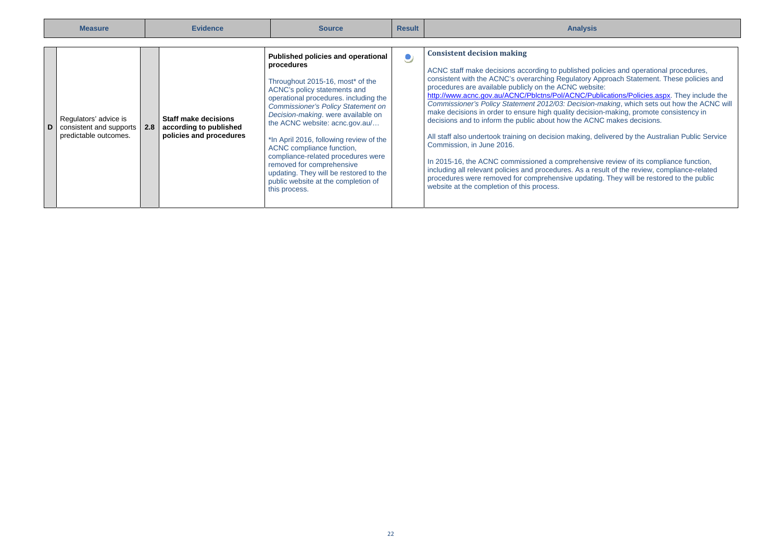| <b>Measure</b> |                                                                               | <b>Evidence</b> |                                                                                  | <b>Source</b>                                                                                                                                                                                                                                                                                                                                                                                                                                                                                                                   | <b>Result</b> | <b>Analysis</b>                                                                                                                                                                                                                                                                                                                                                                                                                                                                                                                                                                                                                                                                                                                                                                                                                                                                                                                                                                                                                                                                                                    |
|----------------|-------------------------------------------------------------------------------|-----------------|----------------------------------------------------------------------------------|---------------------------------------------------------------------------------------------------------------------------------------------------------------------------------------------------------------------------------------------------------------------------------------------------------------------------------------------------------------------------------------------------------------------------------------------------------------------------------------------------------------------------------|---------------|--------------------------------------------------------------------------------------------------------------------------------------------------------------------------------------------------------------------------------------------------------------------------------------------------------------------------------------------------------------------------------------------------------------------------------------------------------------------------------------------------------------------------------------------------------------------------------------------------------------------------------------------------------------------------------------------------------------------------------------------------------------------------------------------------------------------------------------------------------------------------------------------------------------------------------------------------------------------------------------------------------------------------------------------------------------------------------------------------------------------|
|                | Regulators' advice is<br>consistent and supports 2.8<br>predictable outcomes. |                 | <b>Staff make decisions</b><br>according to published<br>policies and procedures | Published policies and operational<br>procedures<br>Throughout 2015-16, most* of the<br>ACNC's policy statements and<br>operational procedures, including the<br><b>Commissioner's Policy Statement on</b><br>Decision-making. were available on<br>the ACNC website: acnc.gov.au/<br>*In April 2016, following review of the<br>ACNC compliance function,<br>compliance-related procedures were<br>removed for comprehensive<br>updating. They will be restored to the<br>public website at the completion of<br>this process. |               | <b>Consistent decision making</b><br>ACNC staff make decisions according to published policies and operational procedures,<br>consistent with the ACNC's overarching Regulatory Approach Statement. These policies and<br>procedures are available publicly on the ACNC website:<br>http://www.acnc.gov.au/ACNC/Pblctns/Pol/ACNC/Publications/Policies.aspx. They include the<br>Commissioner's Policy Statement 2012/03: Decision-making, which sets out how the ACNC will<br>make decisions in order to ensure high quality decision-making, promote consistency in<br>decisions and to inform the public about how the ACNC makes decisions.<br>All staff also undertook training on decision making, delivered by the Australian Public Service<br>Commission, in June 2016.<br>In 2015-16, the ACNC commissioned a comprehensive review of its compliance function,<br>including all relevant policies and procedures. As a result of the review, compliance-related<br>procedures were removed for comprehensive updating. They will be restored to the public<br>website at the completion of this process. |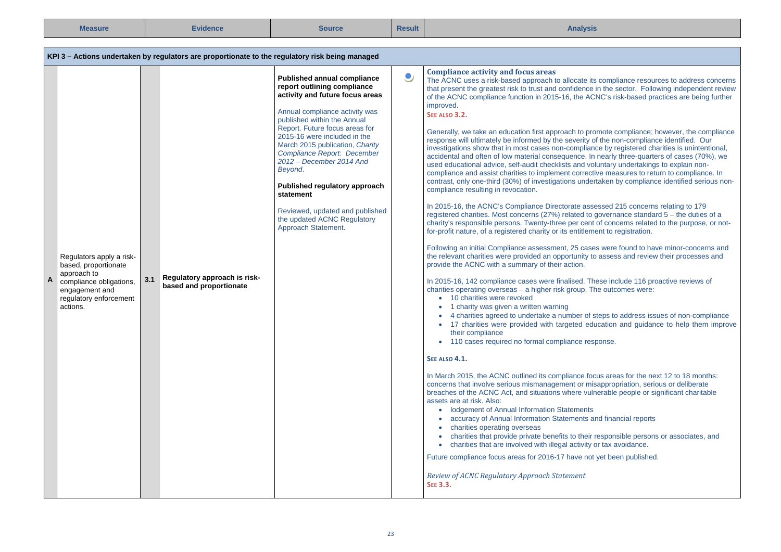| <b>Measure</b>                                                                                                                                          | <b>Evidence</b> |                                                                                                 | <b>Source</b>                                                                                                                                                                                                                                                                                                                                                                                                                                                                    | <b>Result</b> | <b>Analysis</b>                                                                                                                                                                                                                                                                                                                                                                                                                                                                                                                                                                                                                                                                                                                                                                                                                                                                                                                                                                                                                                                                                                                                                                                                                                                                                                                                                                                                                                                                                                                                                                                                                                                                                                                                                                                                                                                                                                                                                                                                                                                                                                                                                                                                                                                                                                                                                                                                                                                                                                                                                                                                                                                                                                                                                                                                                                                                                                                                                                                                                                                                           |
|---------------------------------------------------------------------------------------------------------------------------------------------------------|-----------------|-------------------------------------------------------------------------------------------------|----------------------------------------------------------------------------------------------------------------------------------------------------------------------------------------------------------------------------------------------------------------------------------------------------------------------------------------------------------------------------------------------------------------------------------------------------------------------------------|---------------|-------------------------------------------------------------------------------------------------------------------------------------------------------------------------------------------------------------------------------------------------------------------------------------------------------------------------------------------------------------------------------------------------------------------------------------------------------------------------------------------------------------------------------------------------------------------------------------------------------------------------------------------------------------------------------------------------------------------------------------------------------------------------------------------------------------------------------------------------------------------------------------------------------------------------------------------------------------------------------------------------------------------------------------------------------------------------------------------------------------------------------------------------------------------------------------------------------------------------------------------------------------------------------------------------------------------------------------------------------------------------------------------------------------------------------------------------------------------------------------------------------------------------------------------------------------------------------------------------------------------------------------------------------------------------------------------------------------------------------------------------------------------------------------------------------------------------------------------------------------------------------------------------------------------------------------------------------------------------------------------------------------------------------------------------------------------------------------------------------------------------------------------------------------------------------------------------------------------------------------------------------------------------------------------------------------------------------------------------------------------------------------------------------------------------------------------------------------------------------------------------------------------------------------------------------------------------------------------------------------------------------------------------------------------------------------------------------------------------------------------------------------------------------------------------------------------------------------------------------------------------------------------------------------------------------------------------------------------------------------------------------------------------------------------------------------------------------------------|
|                                                                                                                                                         |                 | KPI 3 – Actions undertaken by regulators are proportionate to the regulatory risk being managed |                                                                                                                                                                                                                                                                                                                                                                                                                                                                                  |               |                                                                                                                                                                                                                                                                                                                                                                                                                                                                                                                                                                                                                                                                                                                                                                                                                                                                                                                                                                                                                                                                                                                                                                                                                                                                                                                                                                                                                                                                                                                                                                                                                                                                                                                                                                                                                                                                                                                                                                                                                                                                                                                                                                                                                                                                                                                                                                                                                                                                                                                                                                                                                                                                                                                                                                                                                                                                                                                                                                                                                                                                                           |
| Regulators apply a risk-<br>based, proportionate<br>approach to<br>A<br>compliance obligations,<br>engagement and<br>regulatory enforcement<br>actions. | 3.1             | Regulatory approach is risk-<br>based and proportionate                                         | Published annual compliance<br>report outlining compliance<br>activity and future focus areas<br>Annual compliance activity was<br>published within the Annual<br>Report. Future focus areas for<br>2015-16 were included in the<br>March 2015 publication, Charity<br>Compliance Report: December<br>2012 - December 2014 And<br>Beyond.<br>Published regulatory approach<br>statement<br>Reviewed, updated and published<br>the updated ACNC Regulatory<br>Approach Statement. | ٯ             | <b>Compliance activity and focus areas</b><br>The ACNC uses a risk-based approach to allocate its compliance resources to address concerns<br>that present the greatest risk to trust and confidence in the sector. Following independent review<br>of the ACNC compliance function in 2015-16, the ACNC's risk-based practices are being further<br>improved.<br>SEE ALSO 3.2.<br>Generally, we take an education first approach to promote compliance; however, the compliance<br>response will ultimately be informed by the severity of the non-compliance identified. Our<br>investigations show that in most cases non-compliance by registered charities is unintentional.<br>accidental and often of low material consequence. In nearly three-quarters of cases (70%), we<br>used educational advice, self-audit checklists and voluntary undertakings to explain non-<br>compliance and assist charities to implement corrective measures to return to compliance. In<br>contrast, only one-third (30%) of investigations undertaken by compliance identified serious non-<br>compliance resulting in revocation.<br>In 2015-16, the ACNC's Compliance Directorate assessed 215 concerns relating to 179<br>registered charities. Most concerns (27%) related to governance standard 5 - the duties of a<br>charity's responsible persons. Twenty-three per cent of concerns related to the purpose, or not-<br>for-profit nature, of a registered charity or its entitlement to registration.<br>Following an initial Compliance assessment, 25 cases were found to have minor-concerns and<br>the relevant charities were provided an opportunity to assess and review their processes and<br>provide the ACNC with a summary of their action.<br>In 2015-16, 142 compliance cases were finalised. These include 116 proactive reviews of<br>charities operating overseas - a higher risk group. The outcomes were:<br>• 10 charities were revoked<br>• 1 charity was given a written warning<br>4 charities agreed to undertake a number of steps to address issues of non-compliance<br>• 17 charities were provided with targeted education and quidance to help them improve<br>their compliance<br>• 110 cases required no formal compliance response.<br><b>SEE ALSO 4.1.</b><br>In March 2015, the ACNC outlined its compliance focus areas for the next 12 to 18 months:<br>concerns that involve serious mismanagement or misappropriation, serious or deliberate<br>breaches of the ACNC Act, and situations where vulnerable people or significant charitable<br>assets are at risk. Also:<br>• Iodgement of Annual Information Statements<br>• accuracy of Annual Information Statements and financial reports<br>charities operating overseas<br>• charities that provide private benefits to their responsible persons or associates, and<br>• charities that are involved with illegal activity or tax avoidance.<br>Future compliance focus areas for 2016-17 have not yet been published.<br>Review of ACNC Regulatory Approach Statement<br><b>SEE 3.3.</b> |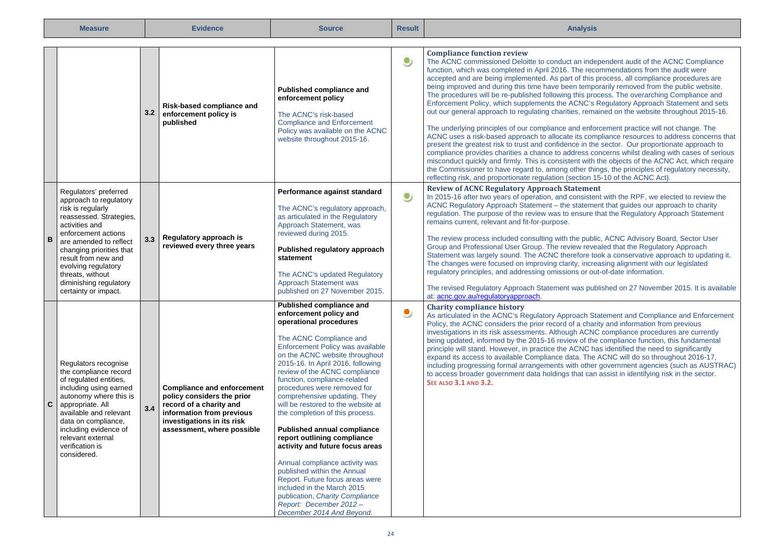|   | <b>Measure</b>                                                                                                                                                                                                                                                                                                     |     | <b>Evidence</b>                                                                                                                                                                     | <b>Source</b>                                                                                                                                                                                                                                                                                                                                                                                                                                                                                                                                                                                                                                                                                                                                                    | <b>Result</b> | <b>Analysis</b>                                                                                                                                                                                                                                                                                                                                                                                                                                                                                                                                                                                                                                                                                                                                                                                                                                                                                                                                                                                                                                                                                                                                                                                                                                                                                                                                                                                       |
|---|--------------------------------------------------------------------------------------------------------------------------------------------------------------------------------------------------------------------------------------------------------------------------------------------------------------------|-----|-------------------------------------------------------------------------------------------------------------------------------------------------------------------------------------|------------------------------------------------------------------------------------------------------------------------------------------------------------------------------------------------------------------------------------------------------------------------------------------------------------------------------------------------------------------------------------------------------------------------------------------------------------------------------------------------------------------------------------------------------------------------------------------------------------------------------------------------------------------------------------------------------------------------------------------------------------------|---------------|-------------------------------------------------------------------------------------------------------------------------------------------------------------------------------------------------------------------------------------------------------------------------------------------------------------------------------------------------------------------------------------------------------------------------------------------------------------------------------------------------------------------------------------------------------------------------------------------------------------------------------------------------------------------------------------------------------------------------------------------------------------------------------------------------------------------------------------------------------------------------------------------------------------------------------------------------------------------------------------------------------------------------------------------------------------------------------------------------------------------------------------------------------------------------------------------------------------------------------------------------------------------------------------------------------------------------------------------------------------------------------------------------------|
|   |                                                                                                                                                                                                                                                                                                                    | 3.2 | Risk-based compliance and<br>enforcement policy is<br>published                                                                                                                     | Published compliance and<br>enforcement policy<br>The ACNC's risk-based<br><b>Compliance and Enforcement</b><br>Policy was available on the ACNC<br>website throughout 2015-16.                                                                                                                                                                                                                                                                                                                                                                                                                                                                                                                                                                                  | $\bullet$     | <b>Compliance function review</b><br>The ACNC commissioned Deloitte to conduct an independent audit of the ACNC Compliance<br>function, which was completed in April 2016. The recommendations from the audit were<br>accepted and are being implemented. As part of this process, all compliance procedures are<br>being improved and during this time have been temporarily removed from the public website.<br>The procedures will be re-published following this process. The overarching Compliance and<br>Enforcement Policy, which supplements the ACNC's Regulatory Approach Statement and sets<br>out our general approach to regulating charities, remained on the website throughout 2015-16.<br>The underlying principles of our compliance and enforcement practice will not change. The<br>ACNC uses a risk-based approach to allocate its compliance resources to address concerns that<br>present the greatest risk to trust and confidence in the sector. Our proportionate approach to<br>compliance provides charities a chance to address concerns whilst dealing with cases of serious<br>misconduct quickly and firmly. This is consistent with the objects of the ACNC Act, which require<br>the Commissioner to have regard to, among other things, the principles of regulatory necessity,<br>reflecting risk, and proportionate regulation (section 15-10 of the ACNC Act). |
| B | Regulators' preferred<br>approach to regulatory<br>risk is regularly<br>reassessed. Strategies,<br>activities and<br>enforcement actions<br>are amended to reflect<br>changing priorities that<br>result from new and<br>evolving regulatory<br>threats, without<br>diminishing regulatory<br>certainty or impact. | 3.3 | Regulatory approach is<br>reviewed every three years                                                                                                                                | Performance against standard<br>The ACNC's regulatory approach,<br>as articulated in the Regulatory<br>Approach Statement, was<br>reviewed during 2015.<br>Published regulatory approach<br>statement<br>The ACNC's updated Regulatory<br><b>Approach Statement was</b><br>published on 27 November 2015.                                                                                                                                                                                                                                                                                                                                                                                                                                                        | $\bullet$     | <b>Review of ACNC Regulatory Approach Statement</b><br>In 2015-16 after two years of operation, and consistent with the RPF, we elected to review the<br>ACNC Regulatory Approach Statement - the statement that guides our approach to charity<br>regulation. The purpose of the review was to ensure that the Regulatory Approach Statement<br>remains current, relevant and fit-for-purpose.<br>The review process included consulting with the public, ACNC Advisory Board, Sector User<br>Group and Professional User Group. The review revealed that the Regulatory Approach<br>Statement was largely sound. The ACNC therefore took a conservative approach to updating it.<br>The changes were focused on improving clarity, increasing alignment with our legislated<br>regulatory principles, and addressing omissions or out-of-date information.<br>The revised Regulatory Approach Statement was published on 27 November 2015. It is available<br>at: acnc.gov.au/regulatoryapproach.                                                                                                                                                                                                                                                                                                                                                                                                   |
| C | Regulators recognise<br>the compliance record<br>of regulated entities,<br>including using earned<br>autonomy where this is<br>appropriate. All<br>available and relevant<br>data on compliance,<br>including evidence of<br>relevant external<br>verification is<br>considered.                                   | 3.4 | <b>Compliance and enforcement</b><br>policy considers the prior<br>record of a charity and<br>information from previous<br>investigations in its risk<br>assessment, where possible | Published compliance and<br>enforcement policy and<br>operational procedures<br>The ACNC Compliance and<br>Enforcement Policy was available<br>on the ACNC website throughout<br>2015-16. In April 2016, following<br>review of the ACNC compliance<br>function, compliance-related<br>procedures were removed for<br>comprehensive updating. They<br>will be restored to the website at<br>the completion of this process.<br><b>Published annual compliance</b><br>report outlining compliance<br>activity and future focus areas<br>Annual compliance activity was<br>published within the Annual<br>Report. Future focus areas were<br>included in the March 2015<br>publication, Charity Compliance<br>Report: December 2012 -<br>December 2014 And Beyond. | ۹             | <b>Charity compliance history</b><br>As articulated in the ACNC's Regulatory Approach Statement and Compliance and Enforcement<br>Policy, the ACNC considers the prior record of a charity and information from previous<br>investigations in its risk assessments. Although ACNC compliance procedures are currently<br>being updated, informed by the 2015-16 review of the compliance function, this fundamental<br>principle will stand. However, in practice the ACNC has identified the need to significantly<br>expand its access to available Compliance data. The ACNC will do so throughout 2016-17,<br>including progressing formal arrangements with other government agencies (such as AUSTRAC)<br>to access broader government data holdings that can assist in identifying risk in the sector.<br><b>SEE ALSO 3.1 AND 3.2.</b>                                                                                                                                                                                                                                                                                                                                                                                                                                                                                                                                                         |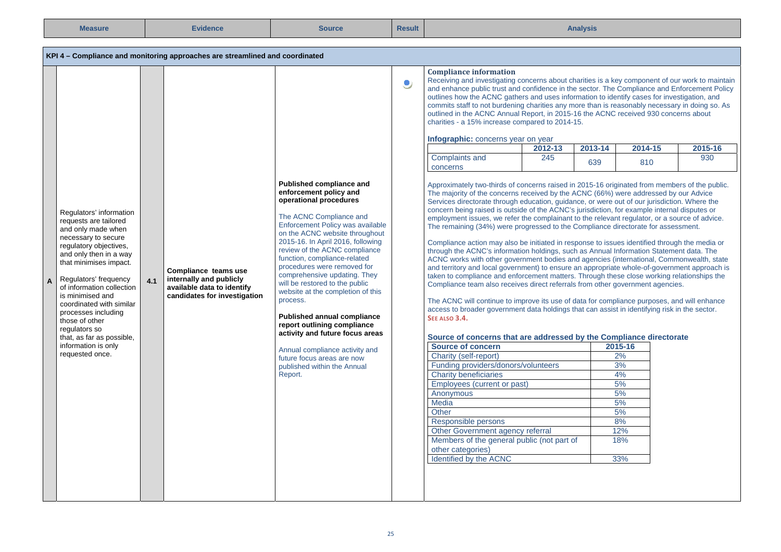| <b>Measure</b>                                                                                                                                                                                                                                                                                                                                                                                                     |     | <b>Evidence</b>                                                                                               | <b>Source</b>                                                                                                                                                                                                                                                                                                                                                                                                                                                                                                                                                                                                                                           | <b>Result</b> | <b>Analysis</b>                                                                                                                                                                                                                                                                                                                                                                                                                                                                                                                                                                                                                                                                                                                                                                                                                                                                                                                                                                                                                                                                                                                                                                                                                                                                                                                                                                                                                                                                                                                                                                                                                                                                                                                                                                                           |                |                |                                                                              |                |
|--------------------------------------------------------------------------------------------------------------------------------------------------------------------------------------------------------------------------------------------------------------------------------------------------------------------------------------------------------------------------------------------------------------------|-----|---------------------------------------------------------------------------------------------------------------|---------------------------------------------------------------------------------------------------------------------------------------------------------------------------------------------------------------------------------------------------------------------------------------------------------------------------------------------------------------------------------------------------------------------------------------------------------------------------------------------------------------------------------------------------------------------------------------------------------------------------------------------------------|---------------|-----------------------------------------------------------------------------------------------------------------------------------------------------------------------------------------------------------------------------------------------------------------------------------------------------------------------------------------------------------------------------------------------------------------------------------------------------------------------------------------------------------------------------------------------------------------------------------------------------------------------------------------------------------------------------------------------------------------------------------------------------------------------------------------------------------------------------------------------------------------------------------------------------------------------------------------------------------------------------------------------------------------------------------------------------------------------------------------------------------------------------------------------------------------------------------------------------------------------------------------------------------------------------------------------------------------------------------------------------------------------------------------------------------------------------------------------------------------------------------------------------------------------------------------------------------------------------------------------------------------------------------------------------------------------------------------------------------------------------------------------------------------------------------------------------------|----------------|----------------|------------------------------------------------------------------------------|----------------|
|                                                                                                                                                                                                                                                                                                                                                                                                                    |     | KPI 4 - Compliance and monitoring approaches are streamlined and coordinated                                  |                                                                                                                                                                                                                                                                                                                                                                                                                                                                                                                                                                                                                                                         |               |                                                                                                                                                                                                                                                                                                                                                                                                                                                                                                                                                                                                                                                                                                                                                                                                                                                                                                                                                                                                                                                                                                                                                                                                                                                                                                                                                                                                                                                                                                                                                                                                                                                                                                                                                                                                           |                |                |                                                                              |                |
|                                                                                                                                                                                                                                                                                                                                                                                                                    |     |                                                                                                               |                                                                                                                                                                                                                                                                                                                                                                                                                                                                                                                                                                                                                                                         | ٥             | <b>Compliance information</b><br>Receiving and investigating concerns about charities is a key component of our work to maintain<br>and enhance public trust and confidence in the sector. The Compliance and Enforcement Policy<br>outlines how the ACNC gathers and uses information to identify cases for investigation, and<br>commits staff to not burdening charities any more than is reasonably necessary in doing so. As<br>outlined in the ACNC Annual Report, in 2015-16 the ACNC received 930 concerns about<br>charities - a 15% increase compared to 2014-15.<br>Infographic: concerns year on year<br>Complaints and                                                                                                                                                                                                                                                                                                                                                                                                                                                                                                                                                                                                                                                                                                                                                                                                                                                                                                                                                                                                                                                                                                                                                                       | 2012-13<br>245 | 2013-14<br>639 | 2014-15<br>810                                                               | 2015-16<br>930 |
| Regulators' information<br>requests are tailored<br>and only made when<br>necessary to secure<br>regulatory objectives,<br>and only then in a way<br>that minimises impact.<br>Regulators' frequency<br>of information collection<br>is minimised and<br>coordinated with similar<br>processes including<br>those of other<br>regulators so<br>that, as far as possible,<br>information is only<br>requested once. | 4.1 | Compliance teams use<br>internally and publicly<br>available data to identify<br>candidates for investigation | Published compliance and<br>enforcement policy and<br>operational procedures<br>The ACNC Compliance and<br>Enforcement Policy was available<br>on the ACNC website throughout<br>2015-16. In April 2016, following<br>review of the ACNC compliance<br>function, compliance-related<br>procedures were removed for<br>comprehensive updating. They<br>will be restored to the public<br>website at the completion of this<br>process.<br><b>Published annual compliance</b><br>report outlining compliance<br>activity and future focus areas<br>Annual compliance activity and<br>future focus areas are now<br>published within the Annual<br>Report. |               | concerns<br>Approximately two-thirds of concerns raised in 2015-16 originated from members of the public.<br>The majority of the concerns received by the ACNC (66%) were addressed by our Advice<br>Services directorate through education, guidance, or were out of our jurisdiction. Where the<br>concern being raised is outside of the ACNC's jurisdiction, for example internal disputes or<br>employment issues, we refer the complainant to the relevant regulator, or a source of advice.<br>The remaining (34%) were progressed to the Compliance directorate for assessment.<br>Compliance action may also be initiated in response to issues identified through the media or<br>through the ACNC's information holdings, such as Annual Information Statement data. The<br>ACNC works with other government bodies and agencies (international, Commonwealth, state<br>and territory and local government) to ensure an appropriate whole-of-government approach is<br>taken to compliance and enforcement matters. Through these close working relationships the<br>Compliance team also receives direct referrals from other government agencies.<br>The ACNC will continue to improve its use of data for compliance purposes, and will enhance<br>access to broader government data holdings that can assist in identifying risk in the sector.<br>SEE ALSO 3.4.<br>Source of concerns that are addressed by the Compliance directorate<br><b>Source of concern</b><br>Charity (self-report)<br>Funding providers/donors/volunteers<br><b>Charity beneficiaries</b><br>Employees (current or past)<br>Anonymous<br>Media<br>Other<br>Responsible persons<br>Other Government agency referral<br>Members of the general public (not part of<br>other categories)<br>Identified by the ACNC |                |                | 2015-16<br>2%<br>3%<br>4%<br>5%<br>5%<br>5%<br>5%<br>8%<br>12%<br>18%<br>33% |                |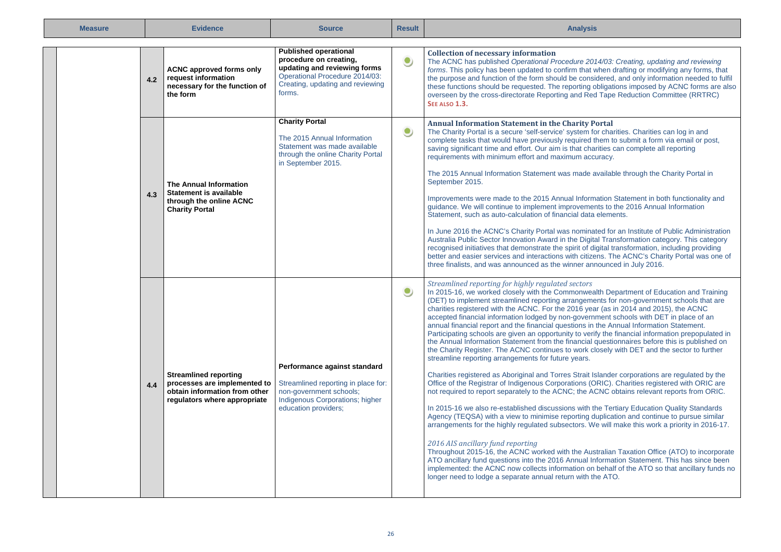| <b>Measure</b> |     | <b>Evidence</b>                                                                                                               | <b>Source</b>                                                                                                                                                          | <b>Result</b> | <b>Analysis</b>                                                                                                                                                                                                                                                                                                                                                                                                                                                                                                                                                                                                                                                                                                                                                                                                                                                                                                                                                                                                                                                                                                                                                                                                                                                                                                                                                                                                                                                                                                                                                                                                                                                                                                                                                                                                                                                                                     |
|----------------|-----|-------------------------------------------------------------------------------------------------------------------------------|------------------------------------------------------------------------------------------------------------------------------------------------------------------------|---------------|-----------------------------------------------------------------------------------------------------------------------------------------------------------------------------------------------------------------------------------------------------------------------------------------------------------------------------------------------------------------------------------------------------------------------------------------------------------------------------------------------------------------------------------------------------------------------------------------------------------------------------------------------------------------------------------------------------------------------------------------------------------------------------------------------------------------------------------------------------------------------------------------------------------------------------------------------------------------------------------------------------------------------------------------------------------------------------------------------------------------------------------------------------------------------------------------------------------------------------------------------------------------------------------------------------------------------------------------------------------------------------------------------------------------------------------------------------------------------------------------------------------------------------------------------------------------------------------------------------------------------------------------------------------------------------------------------------------------------------------------------------------------------------------------------------------------------------------------------------------------------------------------------------|
|                | 4.2 | <b>ACNC approved forms only</b><br>request information<br>necessary for the function of<br>the form                           | <b>Published operational</b><br>procedure on creating,<br>updating and reviewing forms<br>Operational Procedure 2014/03:<br>Creating, updating and reviewing<br>forms. | $\bullet$     | <b>Collection of necessary information</b><br>The ACNC has published Operational Procedure 2014/03: Creating, updating and reviewing<br>forms. This policy has been updated to confirm that when drafting or modifying any forms, that<br>the purpose and function of the form should be considered, and only information needed to fulfil<br>these functions should be requested. The reporting obligations imposed by ACNC forms are also<br>overseen by the cross-directorate Reporting and Red Tape Reduction Committee (RRTRC)<br>SEE ALSO 1.3.                                                                                                                                                                                                                                                                                                                                                                                                                                                                                                                                                                                                                                                                                                                                                                                                                                                                                                                                                                                                                                                                                                                                                                                                                                                                                                                                                |
|                | 4.3 | <b>The Annual Information</b><br><b>Statement is available</b><br>through the online ACNC<br><b>Charity Portal</b>            | <b>Charity Portal</b><br>The 2015 Annual Information<br>Statement was made available<br>through the online Charity Portal<br>in September 2015.                        | $\bullet$     | <b>Annual Information Statement in the Charity Portal</b><br>The Charity Portal is a secure 'self-service' system for charities. Charities can log in and<br>complete tasks that would have previously required them to submit a form via email or post,<br>saving significant time and effort. Our aim is that charities can complete all reporting<br>requirements with minimum effort and maximum accuracy.<br>The 2015 Annual Information Statement was made available through the Charity Portal in<br>September 2015.<br>Improvements were made to the 2015 Annual Information Statement in both functionality and<br>guidance. We will continue to implement improvements to the 2016 Annual Information<br>Statement, such as auto-calculation of financial data elements.<br>In June 2016 the ACNC's Charity Portal was nominated for an Institute of Public Administration<br>Australia Public Sector Innovation Award in the Digital Transformation category. This category<br>recognised initiatives that demonstrate the spirit of digital transformation, including providing<br>better and easier services and interactions with citizens. The ACNC's Charity Portal was one of<br>three finalists, and was announced as the winner announced in July 2016.                                                                                                                                                                                                                                                                                                                                                                                                                                                                                                                                                                                                                          |
|                | 4.4 | <b>Streamlined reporting</b><br>processes are implemented to<br>obtain information from other<br>regulators where appropriate | Performance against standard<br>Streamlined reporting in place for:<br>non-government schools;<br>Indigenous Corporations; higher<br>education providers;              | $\bullet$     | Streamlined reporting for highly regulated sectors<br>In 2015-16, we worked closely with the Commonwealth Department of Education and Training<br>(DET) to implement streamlined reporting arrangements for non-government schools that are<br>charities registered with the ACNC. For the 2016 year (as in 2014 and 2015), the ACNC<br>accepted financial information lodged by non-government schools with DET in place of an<br>annual financial report and the financial questions in the Annual Information Statement.<br>Participating schools are given an opportunity to verify the financial information prepopulated in<br>the Annual Information Statement from the financial questionnaires before this is published on<br>the Charity Register. The ACNC continues to work closely with DET and the sector to further<br>streamline reporting arrangements for future years.<br>Charities registered as Aboriginal and Torres Strait Islander corporations are regulated by the<br>Office of the Registrar of Indigenous Corporations (ORIC). Charities registered with ORIC are<br>not required to report separately to the ACNC; the ACNC obtains relevant reports from ORIC.<br>In 2015-16 we also re-established discussions with the Tertiary Education Quality Standards<br>Agency (TEQSA) with a view to minimise reporting duplication and continue to pursue similar<br>arrangements for the highly regulated subsectors. We will make this work a priority in 2016-17.<br>2016 AIS ancillary fund reporting<br>Throughout 2015-16, the ACNC worked with the Australian Taxation Office (ATO) to incorporate<br>ATO ancillary fund questions into the 2016 Annual Information Statement. This has since been<br>implemented: the ACNC now collects information on behalf of the ATO so that ancillary funds no<br>longer need to lodge a separate annual return with the ATO. |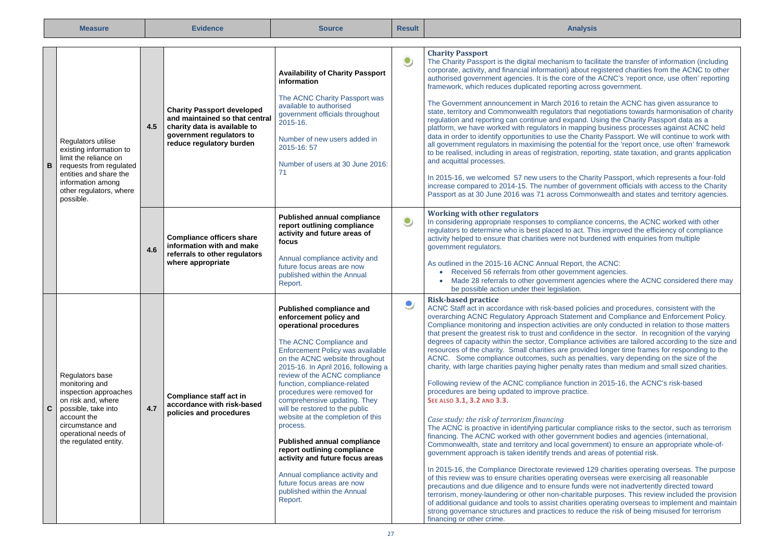| <b>Measure</b>                                                                                                                                                                                   |     | <b>Evidence</b>                                                                                                                                             | <b>Source</b>                                                                                                                                                                                                                                                                                                                                                                                                                                                                                                                                                                                                                                             | <b>Result</b> | <b>Analysis</b>                                                                                                                                                                                                                                                                                                                                                                                                                                                                                                                                                                                                                                                                                                                                                                                                                                                                                                                                                                                                                                                                                                                                                                                                                                                                                                                                                                                                                                                                                                                                                                                                                                                                                                                                                                                                                                                                                                                                                                                                                                                 |
|--------------------------------------------------------------------------------------------------------------------------------------------------------------------------------------------------|-----|-------------------------------------------------------------------------------------------------------------------------------------------------------------|-----------------------------------------------------------------------------------------------------------------------------------------------------------------------------------------------------------------------------------------------------------------------------------------------------------------------------------------------------------------------------------------------------------------------------------------------------------------------------------------------------------------------------------------------------------------------------------------------------------------------------------------------------------|---------------|-----------------------------------------------------------------------------------------------------------------------------------------------------------------------------------------------------------------------------------------------------------------------------------------------------------------------------------------------------------------------------------------------------------------------------------------------------------------------------------------------------------------------------------------------------------------------------------------------------------------------------------------------------------------------------------------------------------------------------------------------------------------------------------------------------------------------------------------------------------------------------------------------------------------------------------------------------------------------------------------------------------------------------------------------------------------------------------------------------------------------------------------------------------------------------------------------------------------------------------------------------------------------------------------------------------------------------------------------------------------------------------------------------------------------------------------------------------------------------------------------------------------------------------------------------------------------------------------------------------------------------------------------------------------------------------------------------------------------------------------------------------------------------------------------------------------------------------------------------------------------------------------------------------------------------------------------------------------------------------------------------------------------------------------------------------------|
| Regulators utilise<br>existing information to<br>limit the reliance on<br>requests from regulated<br>в<br>entities and share the<br>information among<br>other regulators, where<br>possible.    | 4.5 | <b>Charity Passport developed</b><br>and maintained so that central<br>charity data is available to<br>government regulators to<br>reduce regulatory burden | <b>Availability of Charity Passport</b><br>information<br>The ACNC Charity Passport was<br>available to authorised<br>government officials throughout<br>2015-16.<br>Number of new users added in<br>2015-16:57<br>Number of users at 30 June 2016:<br>71                                                                                                                                                                                                                                                                                                                                                                                                 | $\bullet$     | <b>Charity Passport</b><br>The Charity Passport is the digital mechanism to facilitate the transfer of information (including<br>corporate, activity, and financial information) about registered charities from the ACNC to other<br>authorised government agencies. It is the core of the ACNC's 'report once, use often' reporting<br>framework, which reduces duplicated reporting across government.<br>The Government announcement in March 2016 to retain the ACNC has given assurance to<br>state, territory and Commonwealth regulators that negotiations towards harmonisation of charity<br>regulation and reporting can continue and expand. Using the Charity Passport data as a<br>platform, we have worked with regulators in mapping business processes against ACNC held<br>data in order to identify opportunities to use the Charity Passport. We will continue to work with<br>all government regulators in maximising the potential for the 'report once, use often' framework<br>to be realised, including in areas of registration, reporting, state taxation, and grants application<br>and acquittal processes.<br>In 2015-16, we welcomed 57 new users to the Charity Passport, which represents a four-fold<br>increase compared to 2014-15. The number of government officials with access to the Charity<br>Passport as at 30 June 2016 was 71 across Commonwealth and states and territory agencies.                                                                                                                                                                                                                                                                                                                                                                                                                                                                                                                                                                                                                              |
|                                                                                                                                                                                                  | 4.6 | <b>Compliance officers share</b><br>information with and make<br>referrals to other regulators<br>where appropriate                                         | <b>Published annual compliance</b><br>report outlining compliance<br>activity and future areas of<br>focus<br>Annual compliance activity and<br>future focus areas are now<br>published within the Annual<br>Report.                                                                                                                                                                                                                                                                                                                                                                                                                                      | $\bullet$     | <b>Working with other regulators</b><br>In considering appropriate responses to compliance concerns, the ACNC worked with other<br>regulators to determine who is best placed to act. This improved the efficiency of compliance<br>activity helped to ensure that charities were not burdened with enquiries from multiple<br>government regulators.<br>As outlined in the 2015-16 ACNC Annual Report, the ACNC:<br>• Received 56 referrals from other government agencies.<br>Made 28 referrals to other government agencies where the ACNC considered there may<br>be possible action under their legislation.                                                                                                                                                                                                                                                                                                                                                                                                                                                                                                                                                                                                                                                                                                                                                                                                                                                                                                                                                                                                                                                                                                                                                                                                                                                                                                                                                                                                                                               |
| Regulators base<br>monitoring and<br>inspection approaches<br>on risk and, where<br>C<br>possible, take into<br>account the<br>circumstance and<br>operational needs of<br>the regulated entity. | 4.7 | Compliance staff act in<br>accordance with risk-based<br>policies and procedures                                                                            | Published compliance and<br>enforcement policy and<br>operational procedures<br>The ACNC Compliance and<br>Enforcement Policy was available<br>on the ACNC website throughout<br>2015-16. In April 2016, following a<br>review of the ACNC compliance<br>function, compliance-related<br>procedures were removed for<br>comprehensive updating. They<br>will be restored to the public<br>website at the completion of this<br>process.<br><b>Published annual compliance</b><br>report outlining compliance<br>activity and future focus areas<br>Annual compliance activity and<br>future focus areas are now<br>published within the Annual<br>Report. | ಿ             | <b>Risk-based practice</b><br>ACNC Staff act in accordance with risk-based policies and procedures, consistent with the<br>overarching ACNC Regulatory Approach Statement and Compliance and Enforcement Policy.<br>Compliance monitoring and inspection activities are only conducted in relation to those matters<br>that present the greatest risk to trust and confidence in the sector. In recognition of the varying<br>degrees of capacity within the sector, Compliance activities are tailored according to the size and<br>resources of the charity. Small charities are provided longer time frames for responding to the<br>ACNC. Some compliance outcomes, such as penalties, vary depending on the size of the<br>charity, with large charities paying higher penalty rates than medium and small sized charities.<br>Following review of the ACNC compliance function in 2015-16, the ACNC's risk-based<br>procedures are being updated to improve practice.<br>SEE ALSO 3.1, 3.2 AND 3.3.<br>Case study: the risk of terrorism financing<br>The ACNC is proactive in identifying particular compliance risks to the sector, such as terrorism<br>financing. The ACNC worked with other government bodies and agencies (international,<br>Commonwealth, state and territory and local government) to ensure an appropriate whole-of-<br>government approach is taken identify trends and areas of potential risk.<br>In 2015-16, the Compliance Directorate reviewed 129 charities operating overseas. The purpose<br>of this review was to ensure charities operating overseas were exercising all reasonable<br>precautions and due diligence and to ensure funds were not inadvertently directed toward<br>terrorism, money-laundering or other non-charitable purposes. This review included the provision<br>of additional quidance and tools to assist charities operating overseas to implement and maintain<br>strong governance structures and practices to reduce the risk of being misused for terrorism<br>financing or other crime. |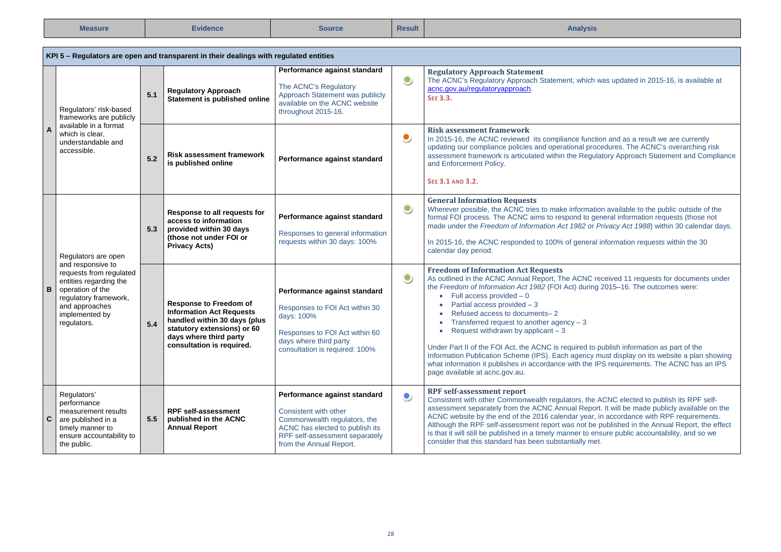| <b>Measure</b> | =vidence | Source | <b>Result</b> | Analvsis |
|----------------|----------|--------|---------------|----------|
|----------------|----------|--------|---------------|----------|

|  | KPI 5 - Regulators are open and transparent in their dealings with regulated entities                                                                                                              |       |                                                                                                                                                                                        |                                                                                                                                                                                       |           |                                                                                                                                                                                                                                                                                                                                                                                                                                                                                                                                                                                                                                                                                                                                                                 |  |  |
|--|----------------------------------------------------------------------------------------------------------------------------------------------------------------------------------------------------|-------|----------------------------------------------------------------------------------------------------------------------------------------------------------------------------------------|---------------------------------------------------------------------------------------------------------------------------------------------------------------------------------------|-----------|-----------------------------------------------------------------------------------------------------------------------------------------------------------------------------------------------------------------------------------------------------------------------------------------------------------------------------------------------------------------------------------------------------------------------------------------------------------------------------------------------------------------------------------------------------------------------------------------------------------------------------------------------------------------------------------------------------------------------------------------------------------------|--|--|
|  | Regulators' risk-based<br>frameworks are publicly                                                                                                                                                  | 5.1   | <b>Requlatory Approach</b><br>Statement is published online                                                                                                                            | Performance against standard<br>The ACNC's Regulatory<br>Approach Statement was publicly<br>available on the ACNC website<br>throughout 2015-16.                                      | $\bullet$ | <b>Regulatory Approach Statement</b><br>The ACNC's Regulatory Approach Statement, which was updated in 2015-16, is available at<br>acnc.gov.au/regulatoryapproach.<br><b>SEE 3.3.</b>                                                                                                                                                                                                                                                                                                                                                                                                                                                                                                                                                                           |  |  |
|  | available in a format<br>$\overline{A}$<br>which is clear,<br>understandable and<br>accessible.                                                                                                    | 5.2   | <b>Risk assessment framework</b><br>is published online                                                                                                                                | Performance against standard                                                                                                                                                          | $\bullet$ | <b>Risk assessment framework</b><br>In 2015-16, the ACNC reviewed its compliance function and as a result we are currently<br>updating our compliance policies and operational procedures. The ACNC's overarching risk<br>assessment framework is articulated within the Regulatory Approach Statement and Compliance<br>and Enforcement Policy.<br>SEE 3.1 AND 3.2.                                                                                                                                                                                                                                                                                                                                                                                            |  |  |
|  | Regulators are open<br>and responsive to<br>requests from requlated<br>entities regarding the<br>B<br>operation of the<br>regulatory framework,<br>and approaches<br>implemented by<br>regulators. | 5.3   | Response to all requests for<br>access to information<br>provided within 30 days<br>(those not under FOI or<br><b>Privacy Acts)</b>                                                    | Performance against standard<br>Responses to general information<br>requests within 30 days: 100%                                                                                     | $\bullet$ | <b>General Information Requests</b><br>Wherever possible, the ACNC tries to make information available to the public outside of the<br>formal FOI process. The ACNC aims to respond to general information requests (those not<br>made under the Freedom of Information Act 1982 or Privacy Act 1988) within 30 calendar days.<br>In 2015-16, the ACNC responded to 100% of general information requests within the 30<br>calendar day period.                                                                                                                                                                                                                                                                                                                  |  |  |
|  |                                                                                                                                                                                                    | $5.4$ | <b>Response to Freedom of</b><br><b>Information Act Requests</b><br>handled within 30 days (plus<br>statutory extensions) or 60<br>days where third party<br>consultation is required. | Performance against standard<br>Responses to FOI Act within 30<br>days: 100%<br>Responses to FOI Act within 60<br>days where third party<br>consultation is required: 100%            | $\bullet$ | <b>Freedom of Information Act Requests</b><br>As outlined in the ACNC Annual Report, The ACNC received 11 requests for documents under<br>the Freedom of Information Act 1982 (FOI Act) during 2015-16. The outcomes were:<br>$\bullet$ Full access provided $-0$<br>Partial access provided - 3<br>$\bullet$<br>Refused access to documents-2<br>Transferred request to another agency $-3$<br>Request withdrawn by applicant $-3$<br>Under Part II of the FOI Act, the ACNC is required to publish information as part of the<br>Information Publication Scheme (IPS). Each agency must display on its website a plan showing<br>what information it publishes in accordance with the IPS requirements. The ACNC has an IPS<br>page available at acnc.gov.au. |  |  |
|  | Regulators'<br>performance<br>measurement results<br>$\mathbf{c}$<br>are published in a<br>timely manner to<br>ensure accountability to<br>the public.                                             | 5.5   | <b>RPF self-assessment</b><br>published in the ACNC<br><b>Annual Report</b>                                                                                                            | Performance against standard<br>Consistent with other<br>Commonwealth regulators, the<br>ACNC has elected to publish its<br>RPF self-assessment separately<br>from the Annual Report. | $\bullet$ | <b>RPF self-assessment report</b><br>Consistent with other Commonwealth regulators, the ACNC elected to publish its RPF self-<br>assessment separately from the ACNC Annual Report. It will be made publicly available on the<br>ACNC website by the end of the 2016 calendar year, in accordance with RPF requirements.<br>Although the RPF self-assessment report was not be published in the Annual Report, the effect<br>is that it will still be published in a timely manner to ensure public accountability, and so we<br>consider that this standard has been substantially met.                                                                                                                                                                        |  |  |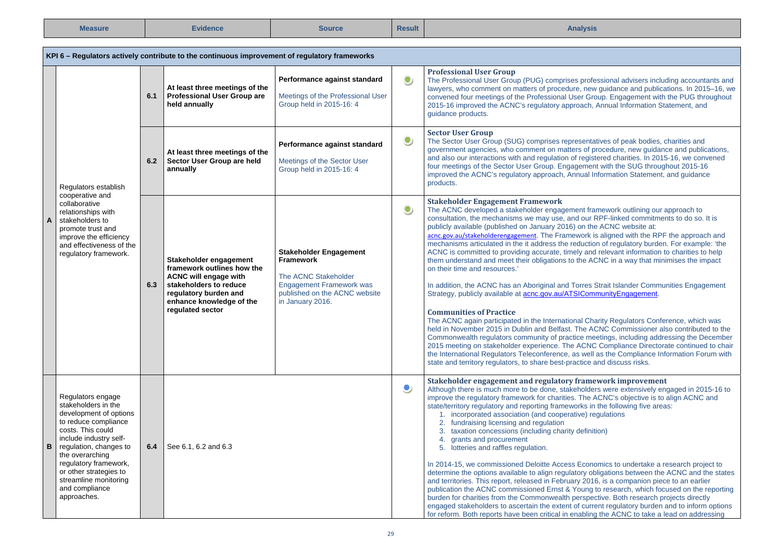| Measure | <b>=vidence</b> | source | <b>Result</b> | Analvsis |
|---------|-----------------|--------|---------------|----------|
|---------|-----------------|--------|---------------|----------|

| KPI 6 – Regulators actively contribute to the continuous improvement of regulatory frameworks                                                                                                                                                                                                            |     |                                                                                                                                                                                         |                                                                                                                                                                   |                                                                                               |                                                                                                                                                                                                                                                                                                                                                                                                                                                                                                                                                                                                                                                                                                                                                                                                                                                                                                                                                                                                                                                                                                                                                                                                                                                                                                                                                                                                                                                                                                                  |                                                                                                                                                                                                                                                                                                                                                                                                                                       |  |
|----------------------------------------------------------------------------------------------------------------------------------------------------------------------------------------------------------------------------------------------------------------------------------------------------------|-----|-----------------------------------------------------------------------------------------------------------------------------------------------------------------------------------------|-------------------------------------------------------------------------------------------------------------------------------------------------------------------|-----------------------------------------------------------------------------------------------|------------------------------------------------------------------------------------------------------------------------------------------------------------------------------------------------------------------------------------------------------------------------------------------------------------------------------------------------------------------------------------------------------------------------------------------------------------------------------------------------------------------------------------------------------------------------------------------------------------------------------------------------------------------------------------------------------------------------------------------------------------------------------------------------------------------------------------------------------------------------------------------------------------------------------------------------------------------------------------------------------------------------------------------------------------------------------------------------------------------------------------------------------------------------------------------------------------------------------------------------------------------------------------------------------------------------------------------------------------------------------------------------------------------------------------------------------------------------------------------------------------------|---------------------------------------------------------------------------------------------------------------------------------------------------------------------------------------------------------------------------------------------------------------------------------------------------------------------------------------------------------------------------------------------------------------------------------------|--|
|                                                                                                                                                                                                                                                                                                          | 6.1 |                                                                                                                                                                                         | At least three meetings of the<br><b>Professional User Group are</b><br>held annually                                                                             | Performance against standard<br>Meetings of the Professional User<br>Group held in 2015-16: 4 | $\bullet$                                                                                                                                                                                                                                                                                                                                                                                                                                                                                                                                                                                                                                                                                                                                                                                                                                                                                                                                                                                                                                                                                                                                                                                                                                                                                                                                                                                                                                                                                                        | <b>Professional User Group</b><br>The Professional User Group (PUG) comprises professional advisers including accountants and<br>lawyers, who comment on matters of procedure, new guidance and publications. In 2015-16, we<br>convened four meetings of the Professional User Group. Engagement with the PUG throughout<br>2015-16 improved the ACNC's regulatory approach, Annual Information Statement, and<br>guidance products. |  |
| Regulators establish                                                                                                                                                                                                                                                                                     | 6.2 | At least three meetings of the<br>Sector User Group are held<br>annually                                                                                                                | Performance against standard<br>Meetings of the Sector User<br>Group held in 2015-16: 4                                                                           | $\bullet$                                                                                     | <b>Sector User Group</b><br>The Sector User Group (SUG) comprises representatives of peak bodies, charities and<br>government agencies, who comment on matters of procedure, new guidance and publications,<br>and also our interactions with and regulation of registered charities. In 2015-16, we convened<br>four meetings of the Sector User Group. Engagement with the SUG throughout 2015-16<br>improved the ACNC's regulatory approach, Annual Information Statement, and guidance<br>products.                                                                                                                                                                                                                                                                                                                                                                                                                                                                                                                                                                                                                                                                                                                                                                                                                                                                                                                                                                                                          |                                                                                                                                                                                                                                                                                                                                                                                                                                       |  |
| cooperative and<br>collaborative<br>relationships with<br>A<br>stakeholders to<br>promote trust and<br>improve the efficiency<br>and effectiveness of the<br>regulatory framework.                                                                                                                       | 6.3 | Stakeholder engagement<br>framework outlines how the<br><b>ACNC will engage with</b><br>stakeholders to reduce<br>regulatory burden and<br>enhance knowledge of the<br>regulated sector | <b>Stakeholder Engagement</b><br><b>Framework</b><br>The ACNC Stakeholder<br><b>Engagement Framework was</b><br>published on the ACNC website<br>in January 2016. | ۹                                                                                             | <b>Stakeholder Engagement Framework</b><br>The ACNC developed a stakeholder engagement framework outlining our approach to<br>consultation, the mechanisms we may use, and our RPF-linked commitments to do so. It is<br>publicly available (published on January 2016) on the ACNC website at:<br>acnc.gov.au/stakeholderengagement. The Framework is aligned with the RPF the approach and<br>mechanisms articulated in the it address the reduction of regulatory burden. For example: 'the<br>ACNC is committed to providing accurate, timely and relevant information to charities to help<br>them understand and meet their obligations to the ACNC in a way that minimises the impact<br>on their time and resources.'<br>In addition, the ACNC has an Aboriginal and Torres Strait Islander Communities Engagement<br>Strategy, publicly available at <b>acnc.gov.au/ATSICommunityEngagement</b> .<br><b>Communities of Practice</b><br>The ACNC again participated in the International Charity Regulators Conference, which was<br>held in November 2015 in Dublin and Belfast. The ACNC Commissioner also contributed to the<br>Commonwealth regulators community of practice meetings, including addressing the December<br>2015 meeting on stakeholder experience. The ACNC Compliance Directorate continued to chair<br>the International Regulators Teleconference, as well as the Compliance Information Forum with<br>state and territory regulators, to share best-practice and discuss risks. |                                                                                                                                                                                                                                                                                                                                                                                                                                       |  |
| Regulators engage<br>stakeholders in the<br>development of options<br>to reduce compliance<br>costs. This could<br>include industry self-<br>в<br>regulation, changes to<br>the overarching<br>regulatory framework,<br>or other strategies to<br>streamline monitoring<br>and compliance<br>approaches. | 6.4 | See 6.1, 6.2 and 6.3                                                                                                                                                                    |                                                                                                                                                                   | 9                                                                                             | Stakeholder engagement and regulatory framework improvement<br>Although there is much more to be done, stakeholders were extensively engaged in 2015-16 to<br>improve the regulatory framework for charities. The ACNC's objective is to align ACNC and<br>state/territory regulatory and reporting frameworks in the following five areas:<br>1. incorporated association (and cooperative) regulations<br>2. fundraising licensing and regulation<br>3. taxation concessions (including charity definition)<br>4. grants and procurement<br>5. lotteries and raffles regulation.<br>In 2014-15, we commissioned Deloitte Access Economics to undertake a research project to<br>determine the options available to align regulatory obligations between the ACNC and the states<br>and territories. This report, released in February 2016, is a companion piece to an earlier<br>publication the ACNC commissioned Ernst & Young to research, which focused on the reporting<br>burden for charities from the Commonwealth perspective. Both research projects directly<br>engaged stakeholders to ascertain the extent of current regulatory burden and to inform options<br>for reform. Both reports have been critical in enabling the ACNC to take a lead on addressing                                                                                                                                                                                                                                   |                                                                                                                                                                                                                                                                                                                                                                                                                                       |  |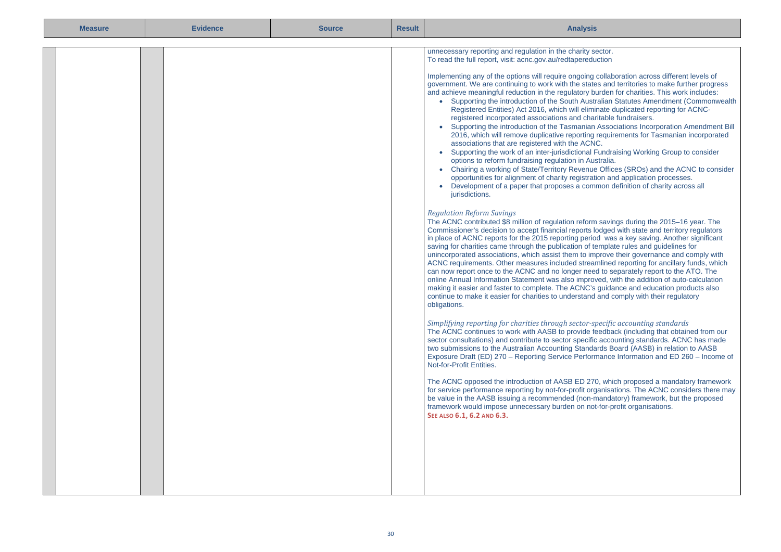| <b>Measure</b> | <b>Evidence</b> | <b>Result</b><br><b>Source</b> |  | <b>Analysis</b>                                                                                                                                                                                                                                                                                                                                                                                                                                                                                                                                                                                                                                                                                                                                                                                                                                                                                                                                                                                                                                                                                                                                                                                                                                                                                                                                                                                                                                                                                                                                                                                                                                                                                                                                                                                                                                                                                                                                                                                                                                                                                                                                                                                                                                                                                                                                                                                                                                                                                                                                                                                                                                                                                                                                                                                                                                                                                                                                                                                                                                                                                                                                                                                                                                                                                                                          |
|----------------|-----------------|--------------------------------|--|------------------------------------------------------------------------------------------------------------------------------------------------------------------------------------------------------------------------------------------------------------------------------------------------------------------------------------------------------------------------------------------------------------------------------------------------------------------------------------------------------------------------------------------------------------------------------------------------------------------------------------------------------------------------------------------------------------------------------------------------------------------------------------------------------------------------------------------------------------------------------------------------------------------------------------------------------------------------------------------------------------------------------------------------------------------------------------------------------------------------------------------------------------------------------------------------------------------------------------------------------------------------------------------------------------------------------------------------------------------------------------------------------------------------------------------------------------------------------------------------------------------------------------------------------------------------------------------------------------------------------------------------------------------------------------------------------------------------------------------------------------------------------------------------------------------------------------------------------------------------------------------------------------------------------------------------------------------------------------------------------------------------------------------------------------------------------------------------------------------------------------------------------------------------------------------------------------------------------------------------------------------------------------------------------------------------------------------------------------------------------------------------------------------------------------------------------------------------------------------------------------------------------------------------------------------------------------------------------------------------------------------------------------------------------------------------------------------------------------------------------------------------------------------------------------------------------------------------------------------------------------------------------------------------------------------------------------------------------------------------------------------------------------------------------------------------------------------------------------------------------------------------------------------------------------------------------------------------------------------------------------------------------------------------------------------------------------------|
|                |                 |                                |  | unnecessary reporting and regulation in the charity sector.<br>To read the full report, visit: acnc.gov.au/redtapereduction<br>Implementing any of the options will require ongoing collaboration across different levels of<br>government. We are continuing to work with the states and territories to make further progress<br>and achieve meaningful reduction in the regulatory burden for charities. This work includes:<br>• Supporting the introduction of the South Australian Statutes Amendment (Commonwealth<br>Registered Entities) Act 2016, which will eliminate duplicated reporting for ACNC-<br>registered incorporated associations and charitable fundraisers.<br>Supporting the introduction of the Tasmanian Associations Incorporation Amendment Bill<br>$\bullet$<br>2016, which will remove duplicative reporting requirements for Tasmanian incorporated<br>associations that are registered with the ACNC.<br>Supporting the work of an inter-jurisdictional Fundraising Working Group to consider<br>$\bullet$<br>options to reform fundraising regulation in Australia.<br>• Chairing a working of State/Territory Revenue Offices (SROs) and the ACNC to consider<br>opportunities for alignment of charity registration and application processes.<br>Development of a paper that proposes a common definition of charity across all<br>$\bullet$<br>jurisdictions.<br><b>Regulation Reform Savings</b><br>The ACNC contributed \$8 million of regulation reform savings during the 2015-16 year. The<br>Commissioner's decision to accept financial reports lodged with state and territory regulators<br>in place of ACNC reports for the 2015 reporting period was a key saving. Another significant<br>saving for charities came through the publication of template rules and quidelines for<br>unincorporated associations, which assist them to improve their governance and comply with<br>ACNC requirements. Other measures included streamlined reporting for ancillary funds, which<br>can now report once to the ACNC and no longer need to separately report to the ATO. The<br>online Annual Information Statement was also improved, with the addition of auto-calculation<br>making it easier and faster to complete. The ACNC's guidance and education products also<br>continue to make it easier for charities to understand and comply with their regulatory<br>obligations.<br>Simplifying reporting for charities through sector-specific accounting standards<br>The ACNC continues to work with AASB to provide feedback (including that obtained from our<br>sector consultations) and contribute to sector specific accounting standards. ACNC has made<br>two submissions to the Australian Accounting Standards Board (AASB) in relation to AASB<br>Exposure Draft (ED) 270 - Reporting Service Performance Information and ED 260 - Income of<br>Not-for-Profit Entities.<br>The ACNC opposed the introduction of AASB ED 270, which proposed a mandatory framework<br>for service performance reporting by not-for-profit organisations. The ACNC considers there may<br>be value in the AASB issuing a recommended (non-mandatory) framework, but the proposed<br>framework would impose unnecessary burden on not-for-profit organisations.<br>SEE ALSO 6.1, 6.2 AND 6.3. |